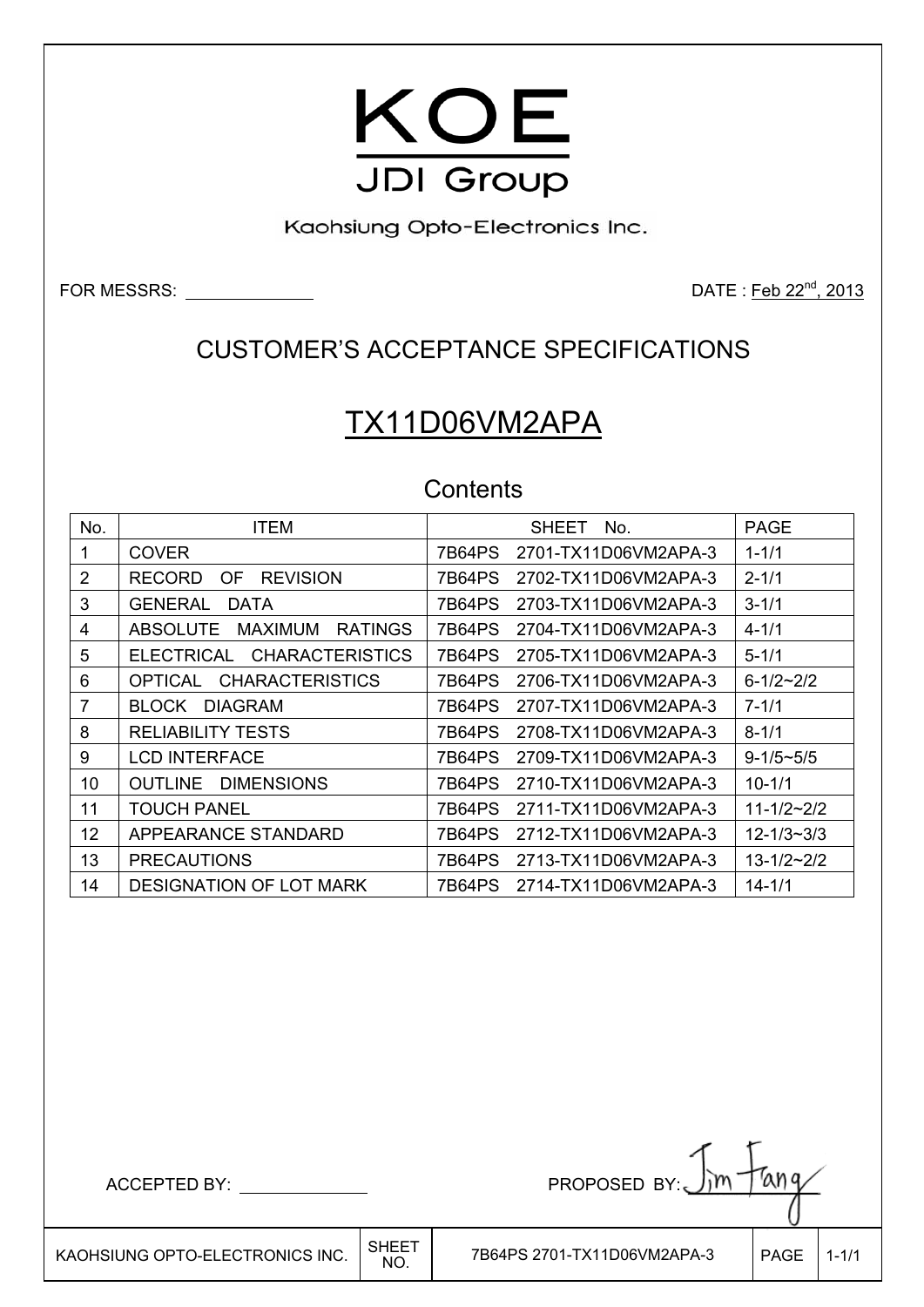

Kaohsiung Opto-Electronics Inc.

FOR MESSRS: <u>DATE : Feb 22<sup>nd</sup>, 2013</u>

### CUSTOMER'S ACCEPTANCE SPECIFICATIONS

# TX11D06VM2APA

### **Contents**

| No.            | ITEM                                                | <b>PAGE</b><br><b>SHEET</b><br>No.                    |  |
|----------------|-----------------------------------------------------|-------------------------------------------------------|--|
| 1              | <b>COVER</b>                                        | 7B64PS<br>2701-TX11D06VM2APA-3<br>$1 - 1/1$           |  |
| $\overline{2}$ | <b>REVISION</b><br><b>RECORD</b><br>0F              | 2702-TX11D06VM2APA-3<br>$2 - 1/1$<br>7B64PS           |  |
| 3              | <b>GENERAL</b><br><b>DATA</b>                       | $3 - 1/1$<br>7B64PS<br>2703-TX11D06VM2APA-3           |  |
| 4              | <b>MAXIMUM</b><br><b>RATINGS</b><br><b>ABSOLUTE</b> | $4 - 1/1$<br>7B64PS<br>2704-TX11D06VM2APA-3           |  |
| 5              | <b>CHARACTERISTICS</b><br><b>ELECTRICAL</b>         | $5 - 1/1$<br>7B64PS<br>2705-TX11D06VM2APA-3           |  |
| 6              | <b>CHARACTERISTICS</b><br>OPTICAL                   | 7B64PS<br>2706-TX11D06VM2APA-3<br>$6 - 1/2 - 2/2$     |  |
| 7              | <b>DIAGRAM</b><br>BLOCK.                            | 7B64PS<br>2707-TX11D06VM2APA-3<br>$7 - 1/1$           |  |
| 8              | <b>RELIABILITY TESTS</b>                            | <b>7B64PS</b><br>$8 - 1/1$<br>2708-TX11D06VM2APA-3    |  |
| 9              | <b>LCD INTERFACE</b>                                | 7B64PS<br>2709-TX11D06VM2APA-3<br>$9 - 1/5 \sim 5/5$  |  |
| 10             | <b>OUTLINE</b><br><b>DIMENSIONS</b>                 | 7B64PS<br>2710-TX11D06VM2APA-3<br>$10 - 1/1$          |  |
| 11             | <b>TOUCH PANEL</b>                                  | 2711-TX11D06VM2APA-3<br>$11 - 1/2 - 2/2$<br>7B64PS    |  |
| 12             | APPEARANCE STANDARD                                 | 7B64PS<br>2712-TX11D06VM2APA-3<br>$12 - 1/3 - 3/3$    |  |
| 13             | <b>PRECAUTIONS</b>                                  | 2713-TX11D06VM2APA-3<br>$13 - 1/2 \sim 2/2$<br>7B64PS |  |
| 14             | <b>DESIGNATION OF LOT MARK</b>                      | 2714-TX11D06VM2APA-3<br>$14 - 1/1$<br>7B64PS          |  |

 $ACCEPTED BY: \_\_$  PROPOSED BY:

 $\overline{\phantom{a}}$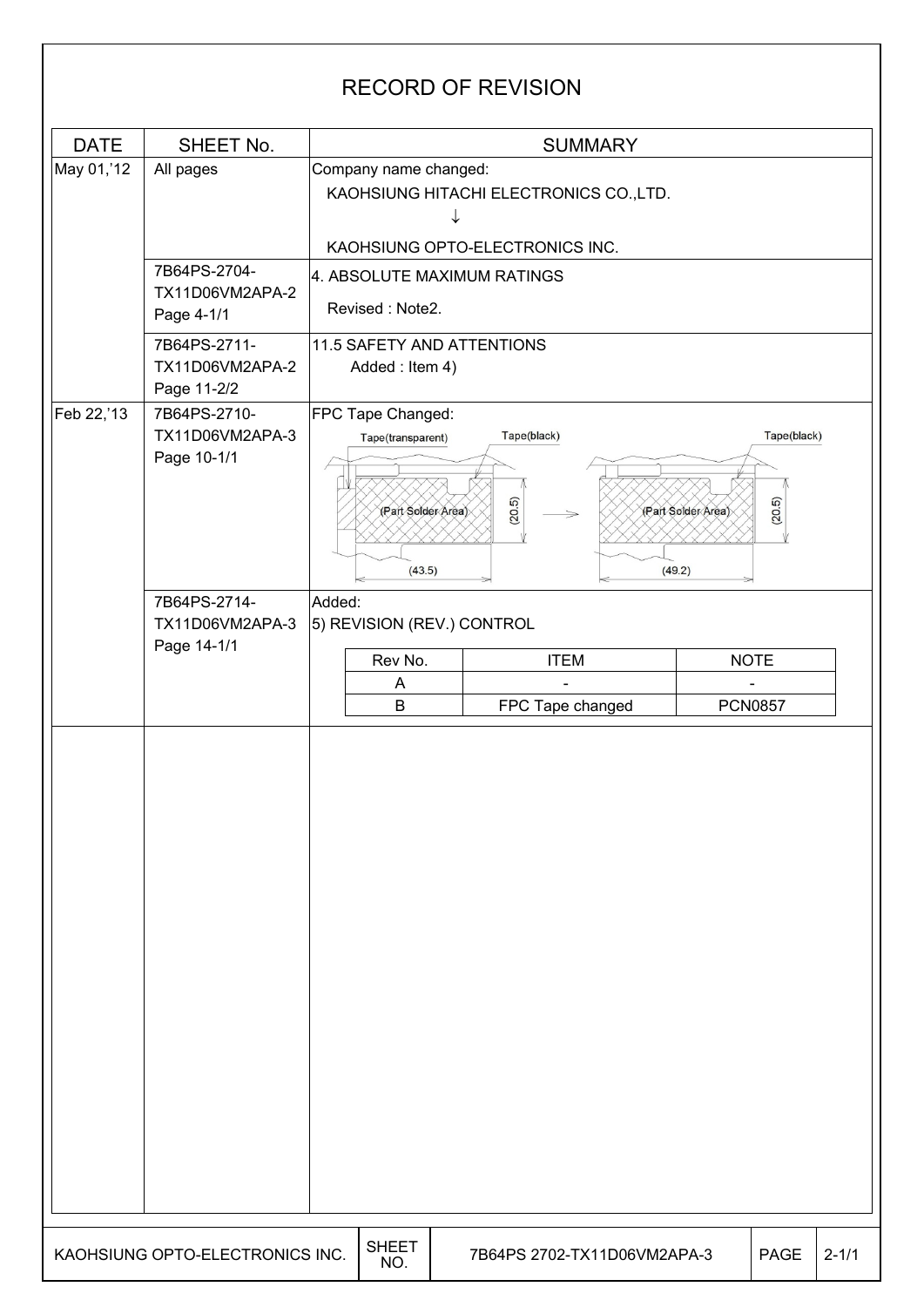### RECORD OF REVISION DATE SHEET No. | SUMMARY  $\vert$ May 01,'12  $\vert$  All pages  $\vert$  Company name changed: KAOHSIUNG HITACHI ELECTRONICS CO.,LTD.  $\downarrow$ KAOHSIUNG OPTO-ELECTRONICS INC. 7B64PS-2704- 4. ABSOLUTE MAXIMUM RATINGS TX11D06VM2APA-2 Revised : Note2. Page 4-1/1 7B64PS-2711- 11.5 SAFETY AND ATTENTIONS TX11D06VM2APA-2 Added : Item 4) Page 11-2/2 Feb 22,'13 7B64PS-2710-FPC Tape Changed: TX11D06VM2APA-3 Tape(black) Tape(black) Tape(transparent) Page 10-1/1  $(20.5)$  $(20.5)$ (Part Solder Area) (Part Solder Area)  $(43.5)$  $(49.2)$ 7B64PS-2714- Added: TX11D06VM2APA-3 5) REVISION (REV.) CONTROL Page 14-1/1 Rev No. | ITEM | NOTE A | - - | -B FPC Tape changed | PCN0857  $\overline{a}$ KAOHSIUNG OPTO-ELECTRONICS INC.  $\Big|\substack{\text{SHEET} \ \text{NO.}}$ 7B64PS 2702-TX11D06VM2APA-3 PAGE 2-1/1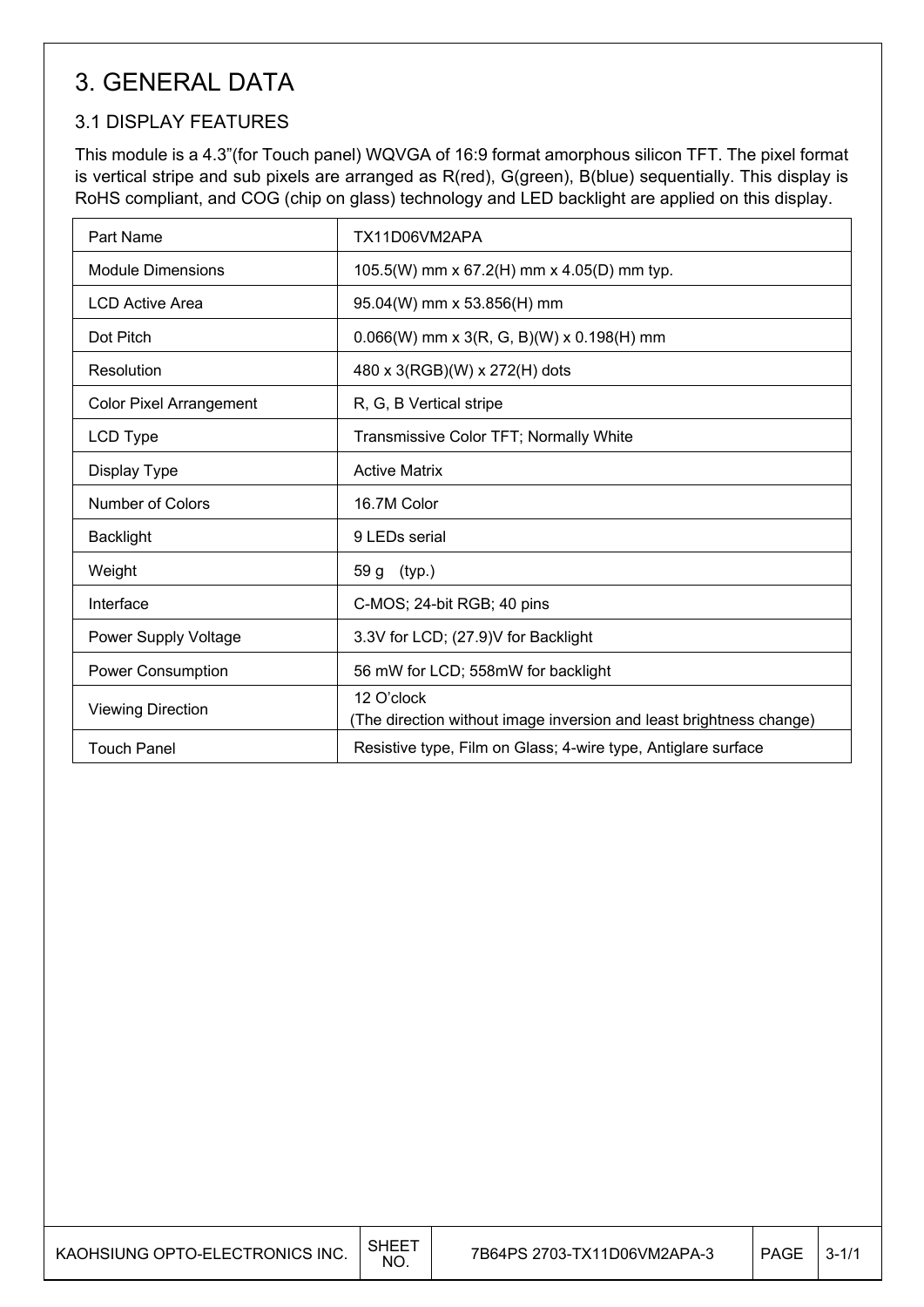## 3. GENERAL DATA

### 3.1 DISPLAY FEATURES

 $\mathsf{I}$ 

This module is a 4.3"(for Touch panel) WQVGA of 16:9 format amorphous silicon TFT. The pixel format is vertical stripe and sub pixels are arranged as R(red), G(green), B(blue) sequentially. This display is RoHS compliant, and COG (chip on glass) technology and LED backlight are applied on this display.

| Part Name                      | TX11D06VM2APA                                                                     |
|--------------------------------|-----------------------------------------------------------------------------------|
| <b>Module Dimensions</b>       | 105.5(W) mm x 67.2(H) mm x 4.05(D) mm typ.                                        |
| <b>LCD Active Area</b>         | 95.04(W) mm x 53.856(H) mm                                                        |
| Dot Pitch                      | $0.066(W)$ mm x 3(R, G, B)(W) x 0.198(H) mm                                       |
| Resolution                     | 480 x 3(RGB)(W) x 272(H) dots                                                     |
| <b>Color Pixel Arrangement</b> | R, G, B Vertical stripe                                                           |
| LCD Type                       | Transmissive Color TFT; Normally White                                            |
| Display Type                   | <b>Active Matrix</b>                                                              |
| Number of Colors               | 16.7M Color                                                                       |
| <b>Backlight</b>               | 9 LEDs serial                                                                     |
| Weight                         | 59 g (typ.)                                                                       |
| Interface                      | C-MOS; 24-bit RGB; 40 pins                                                        |
| Power Supply Voltage           | 3.3V for LCD; (27.9)V for Backlight                                               |
| Power Consumption              | 56 mW for LCD; 558mW for backlight                                                |
| <b>Viewing Direction</b>       | 12 O'clock<br>(The direction without image inversion and least brightness change) |
| <b>Touch Panel</b>             | Resistive type, Film on Glass; 4-wire type, Antiglare surface                     |

| KAOHSIUNG OPTO-ELECTRONICS INC. | SHEE <sup>-</sup><br>NO. | 7B64PS 2703-TX11D06VM2APA-3 | <b>PAGE</b> | $3 - 1/1$ |
|---------------------------------|--------------------------|-----------------------------|-------------|-----------|
|---------------------------------|--------------------------|-----------------------------|-------------|-----------|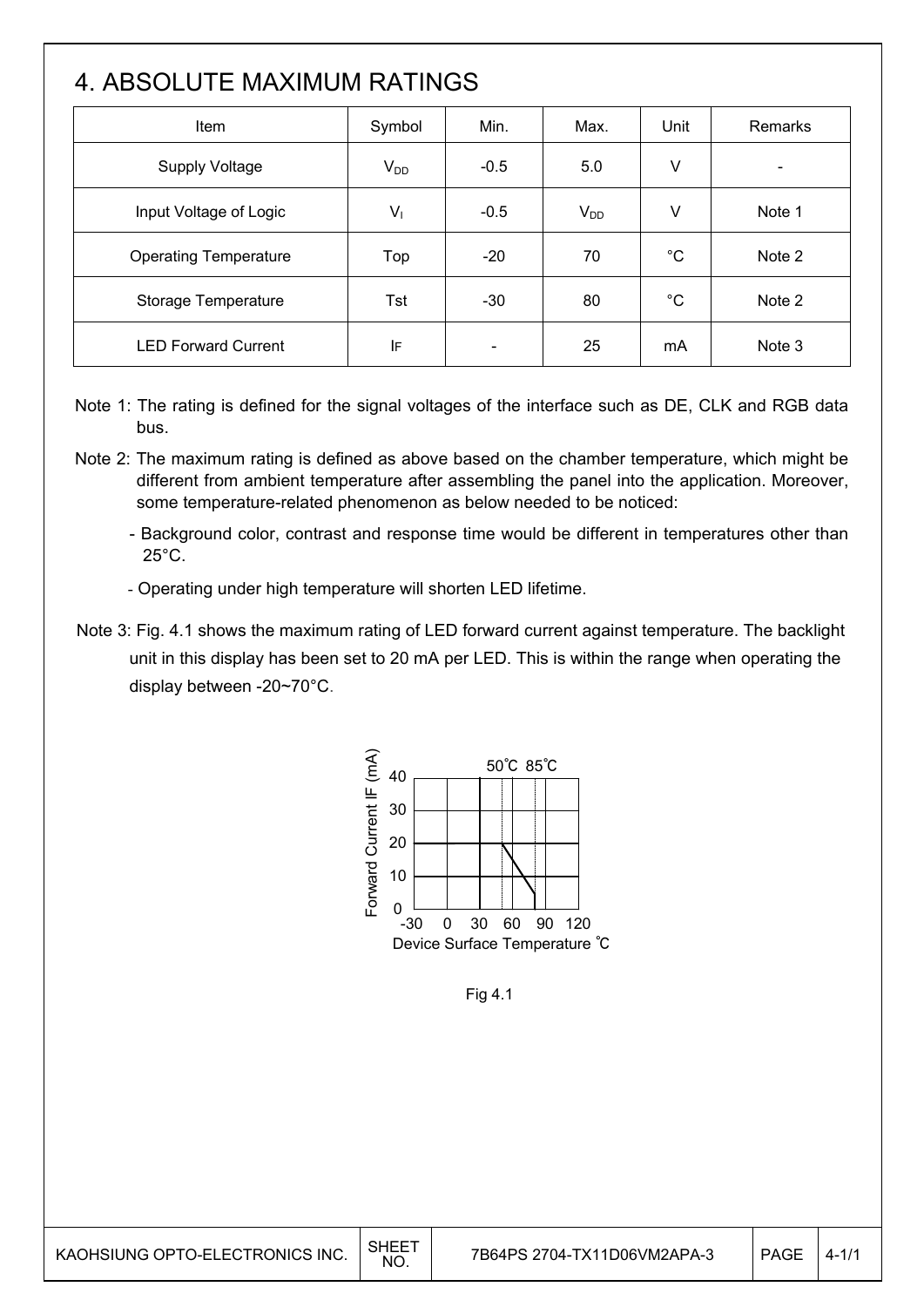# 4. ABSOLUTE MAXIMUM RATINGS

| Item                         | Symbol   | Min.                     | Max.     | Unit        | Remarks |
|------------------------------|----------|--------------------------|----------|-------------|---------|
| <b>Supply Voltage</b>        | $V_{DD}$ | $-0.5$                   | 5.0      | V           |         |
| Input Voltage of Logic       | $V_1$    | $-0.5$                   | $V_{DD}$ | V           | Note 1  |
| <b>Operating Temperature</b> | Top      | $-20$                    | 70       | $^{\circ}C$ | Note 2  |
| Storage Temperature          | Tst      | $-30$                    | 80       | $^{\circ}C$ | Note 2  |
| <b>LED Forward Current</b>   | ΙF       | $\overline{\phantom{a}}$ | 25       | mA          | Note 3  |

- Note 1: The rating is defined for the signal voltages of the interface such as DE, CLK and RGB data bus.
- Note 2: The maximum rating is defined as above based on the chamber temperature, which might be different from ambient temperature after assembling the panel into the application. Moreover, some temperature-related phenomenon as below needed to be noticed:
	- Background color, contrast and response time would be different in temperatures other than  $25^{\circ}$ C.
	- Operating under high temperature will shorten LED lifetime.
- Note 3: Fig. 4.1 shows the maximum rating of LED forward current against temperature. The backlight unit in this display has been set to 20 mA per LED. This is within the range when operating the display between -20~70°C.



Fig 4.1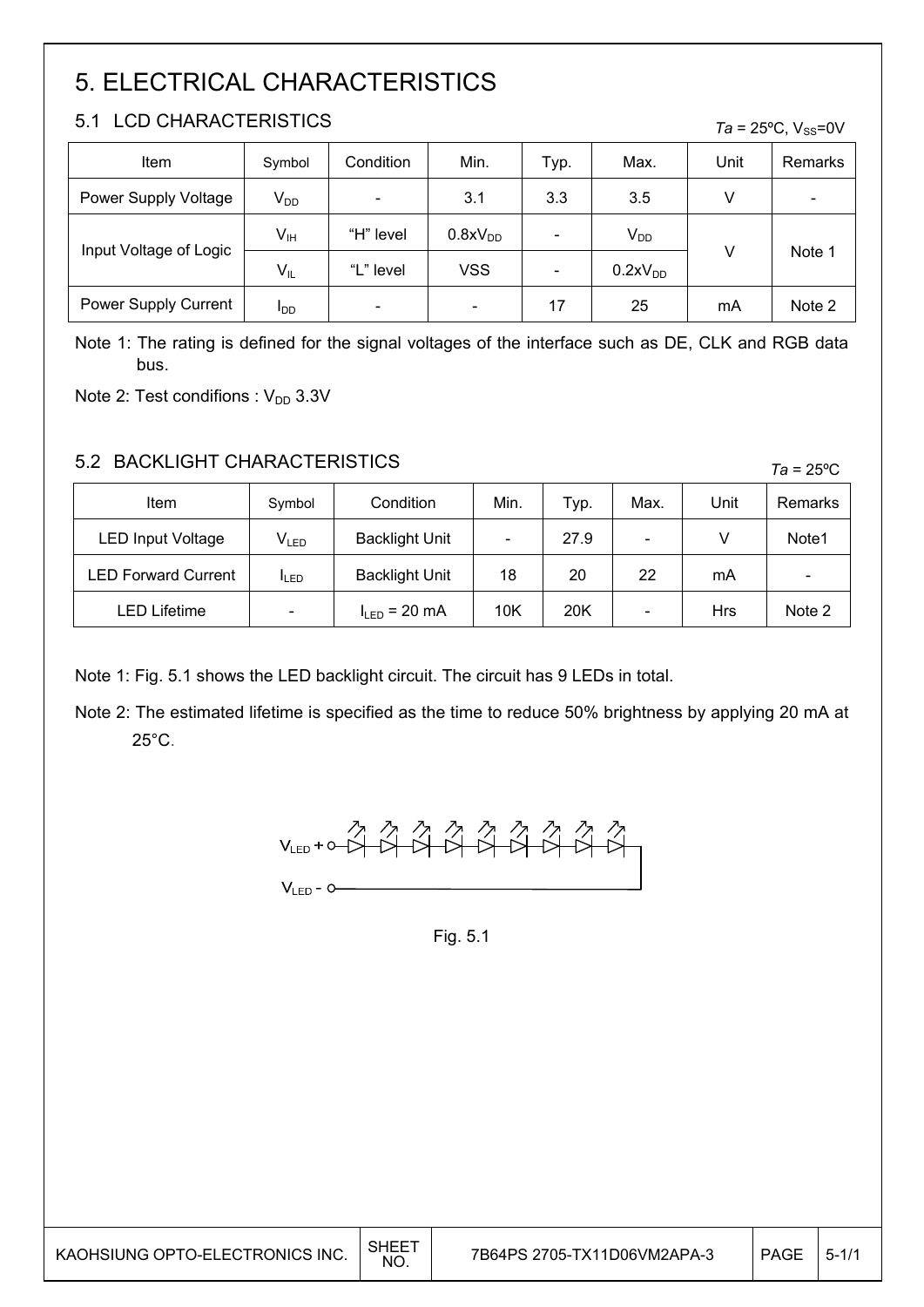# 5. ELECTRICAL CHARACTERISTICS

### 5.1 LCD CHARACTERISTICS

| 5.1<br>LUD UHARAUTERISTIUS.<br>$Ta = 25^{\circ}C$ , $V_{SS} = 0V$ |                 |           |                          |      |                     |      |                          |
|-------------------------------------------------------------------|-----------------|-----------|--------------------------|------|---------------------|------|--------------------------|
| Item                                                              | Symbol          | Condition | Min.                     | Typ. | Max.                | Unit | Remarks                  |
| Power Supply Voltage                                              | $V_{DD}$        | -         | 3.1                      | 3.3  | 3.5                 | V    | $\overline{\phantom{0}}$ |
| Input Voltage of Logic                                            | V <sub>IH</sub> | "H" level | 0.8xV <sub>DD</sub>      |      | $V_{DD}$            | v    | Note 1                   |
|                                                                   | $V_{IL}$        | "L" level | <b>VSS</b>               |      | 0.2xV <sub>DD</sub> |      |                          |
| Power Supply Current                                              | $I_{DD}$        |           | $\overline{\phantom{a}}$ | 17   | 25                  | mA   | Note 2                   |

Note 1: The rating is defined for the signal voltages of the interface such as DE, CLK and RGB data bus.

Note 2: Test condifions :  $V_{DD}$  3.3V

### 5.2 BACKLIGHT CHARACTERISTICS

| Item                       | Symbol                      | Condition             | Min.                     | Typ. | Max. | Unit | Remarks                  |
|----------------------------|-----------------------------|-----------------------|--------------------------|------|------|------|--------------------------|
| <b>LED Input Voltage</b>   | $\mathsf{V}_{\mathsf{LED}}$ | <b>Backlight Unit</b> | $\overline{\phantom{a}}$ | 27.9 | -    |      | Note1                    |
| <b>LED Forward Current</b> | <b>ILED</b>                 | <b>Backlight Unit</b> | 18                       | 20   | 22   | mA   | $\overline{\phantom{a}}$ |
| <b>LED Lifetime</b>        |                             | $I_{LED}$ = 20 mA     | 10K                      | 20K  | -    | Hrs  | Note 2                   |

Note 1: Fig. 5.1 shows the LED backlight circuit. The circuit has 9 LEDs in total.

Note 2: The estimated lifetime is specified as the time to reduce 50% brightness by applying 20 mA at 25°C.



Fig. 5.1

| KAOHSIUNG OPTO-ELECTRONICS INC. | SHEE <sup>7</sup><br><b>NO</b> | 7B64PS 2705-TX11D06VM2APA-3 | PAGE | $15 - 1/1$ |
|---------------------------------|--------------------------------|-----------------------------|------|------------|
|---------------------------------|--------------------------------|-----------------------------|------|------------|

*Ta* = 25ºC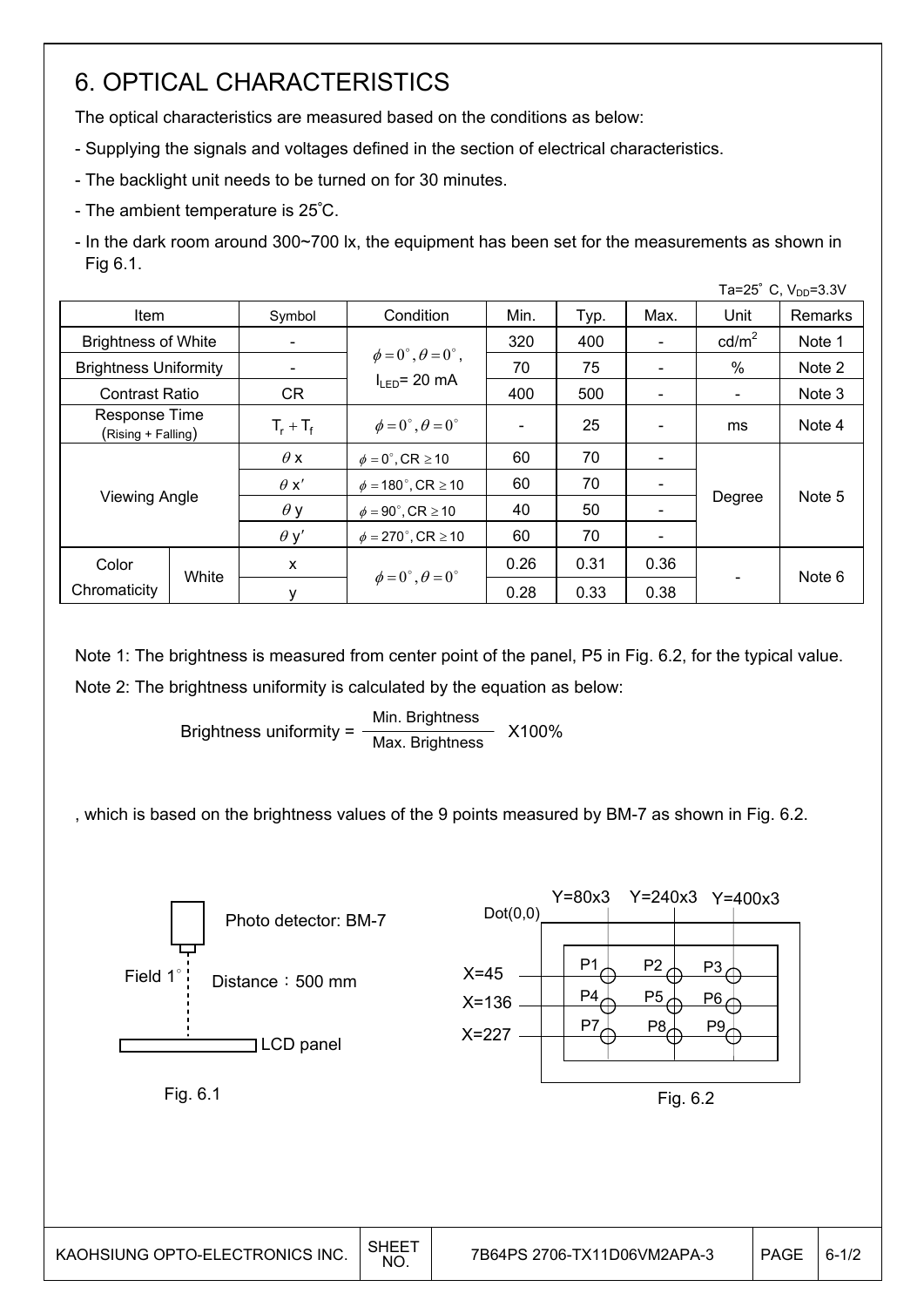## 6. OPTICAL CHARACTERISTICS

The optical characteristics are measured based on the conditions as below:

- Supplying the signals and voltages defined in the section of electrical characteristics.
- The backlight unit needs to be turned on for 30 minutes.
- The ambient temperature is 25∘C.
- In the dark room around 300~700 lx, the equipment has been set for the measurements as shown in Fig 6.1.

|                              |                                                                        |              |                                          |      |      |      |                          | Ta=25° C, $V_{DD} = 3.3V$ |
|------------------------------|------------------------------------------------------------------------|--------------|------------------------------------------|------|------|------|--------------------------|---------------------------|
| <b>Item</b>                  |                                                                        | Symbol       | Condition                                | Min. | Typ. | Max. | Unit                     | Remarks                   |
| <b>Brightness of White</b>   |                                                                        |              |                                          | 320  | 400  |      | $\text{cd/m}^2$          | Note 1                    |
| <b>Brightness Uniformity</b> |                                                                        |              | $\phi = 0^{\circ}, \theta = 0^{\circ}$ , | 70   | 75   |      | $\%$                     | Note 2                    |
| <b>Contrast Ratio</b>        |                                                                        | CR.          | $I_{\text{LED}}$ = 20 mA                 | 400  | 500  |      | $\overline{\phantom{0}}$ | Note 3                    |
|                              | Response Time<br>(Rising + Falling)                                    |              | $\phi = 0^{\circ}, \theta = 0^{\circ}$   |      | 25   |      | ms                       | Note 4                    |
|                              |                                                                        |              | $\phi = 0^\circ$ , CR $\geq 10$          | 60   | 70   |      |                          |                           |
|                              |                                                                        | $\theta x'$  | $\phi = 180^{\circ}$ , CR $\geq 10$      | 60   | 70   |      |                          |                           |
|                              | <b>Viewing Angle</b><br>$\theta$ y<br>$\phi = 90^\circ$ , CR $\geq 10$ |              |                                          | 40   | 50   |      | Degree                   | Note 5                    |
|                              |                                                                        | $\theta$ y'  | $\phi = 270^\circ$ , CR $\geq 10$        | 60   | 70   |      |                          |                           |
| Color                        | White                                                                  | $\mathsf{x}$ |                                          | 0.26 | 0.31 | 0.36 |                          | Note 6                    |
| Chromaticity                 |                                                                        | у            | $\phi = 0^{\circ}, \theta = 0^{\circ}$   | 0.28 | 0.33 | 0.38 |                          |                           |

Note 1: The brightness is measured from center point of the panel, P5 in Fig. 6.2, for the typical value. Note 2: The brightness uniformity is calculated by the equation as below:

> Brightness uniformity = X100% Min. Brightness Max. Brightness

, which is based on the brightness values of the 9 points measured by BM-7 as shown in Fig. 6.2.

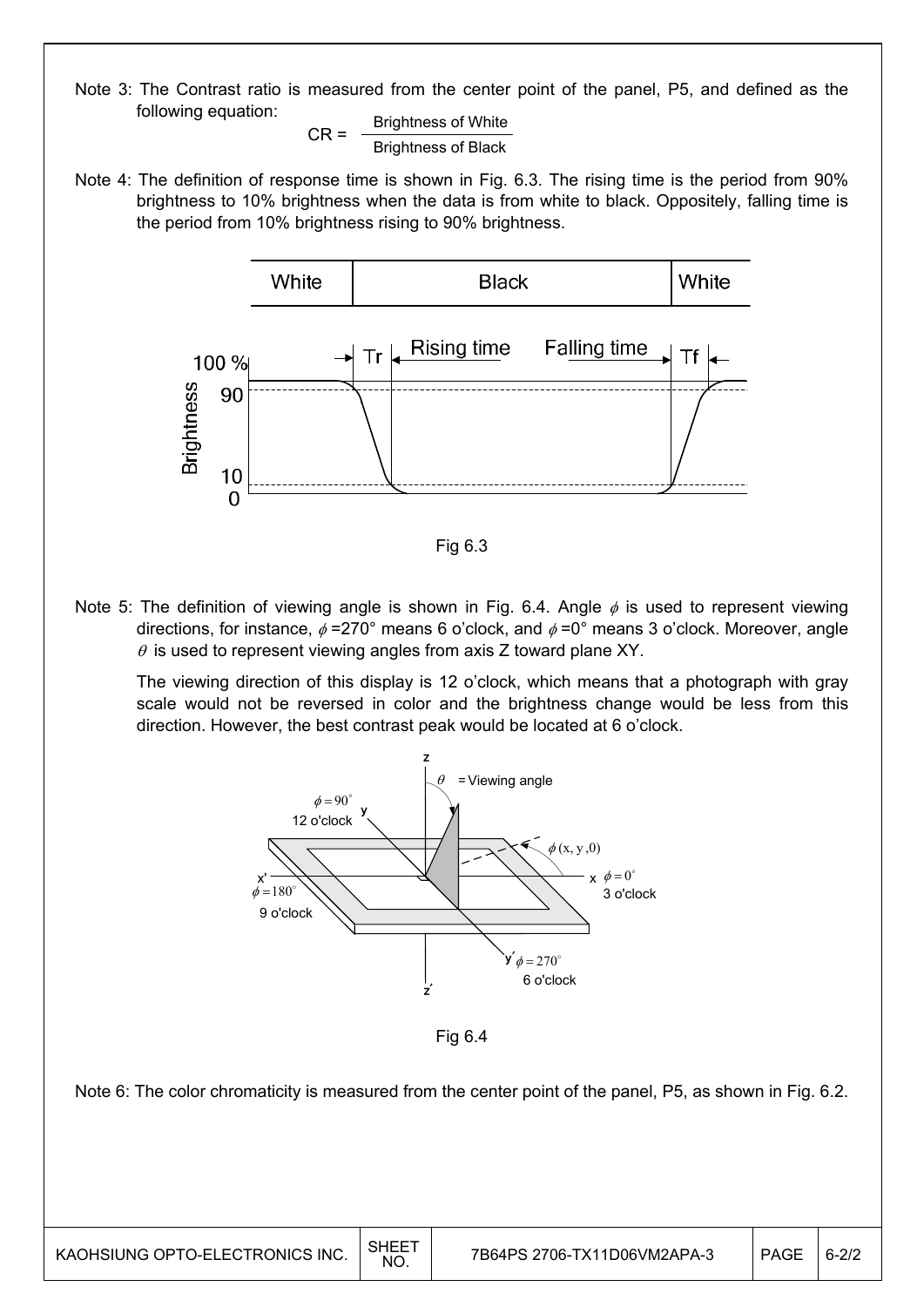Note 3: The Contrast ratio is measured from the center point of the panel, P5, and defined as the following equation:

$$
CR = \frac{Brightness \text{ of White}}{Brightness \text{ of Black}}
$$

Note 4: The definition of response time is shown in Fig. 6.3. The rising time is the period from 90% brightness to 10% brightness when the data is from white to black. Oppositely, falling time is the period from 10% brightness rising to 90% brightness.



Fig 6.3

Note 5: The definition of viewing angle is shown in Fig. 6.4. Angle  $\phi$  is used to represent viewing directions, for instance,  $\phi$  =270° means 6 o'clock, and  $\phi$  =0° means 3 o'clock. Moreover, angle  $\theta$  is used to represent viewing angles from axis Z toward plane XY.

 The viewing direction of this display is 12 o'clock, which means that a photograph with gray scale would not be reversed in color and the brightness change would be less from this direction. However, the best contrast peak would be located at 6 o'clock.



Fig 6.4

Note 6: The color chromaticity is measured from the center point of the panel, P5, as shown in Fig. 6.2.

 $\mathsf{I}$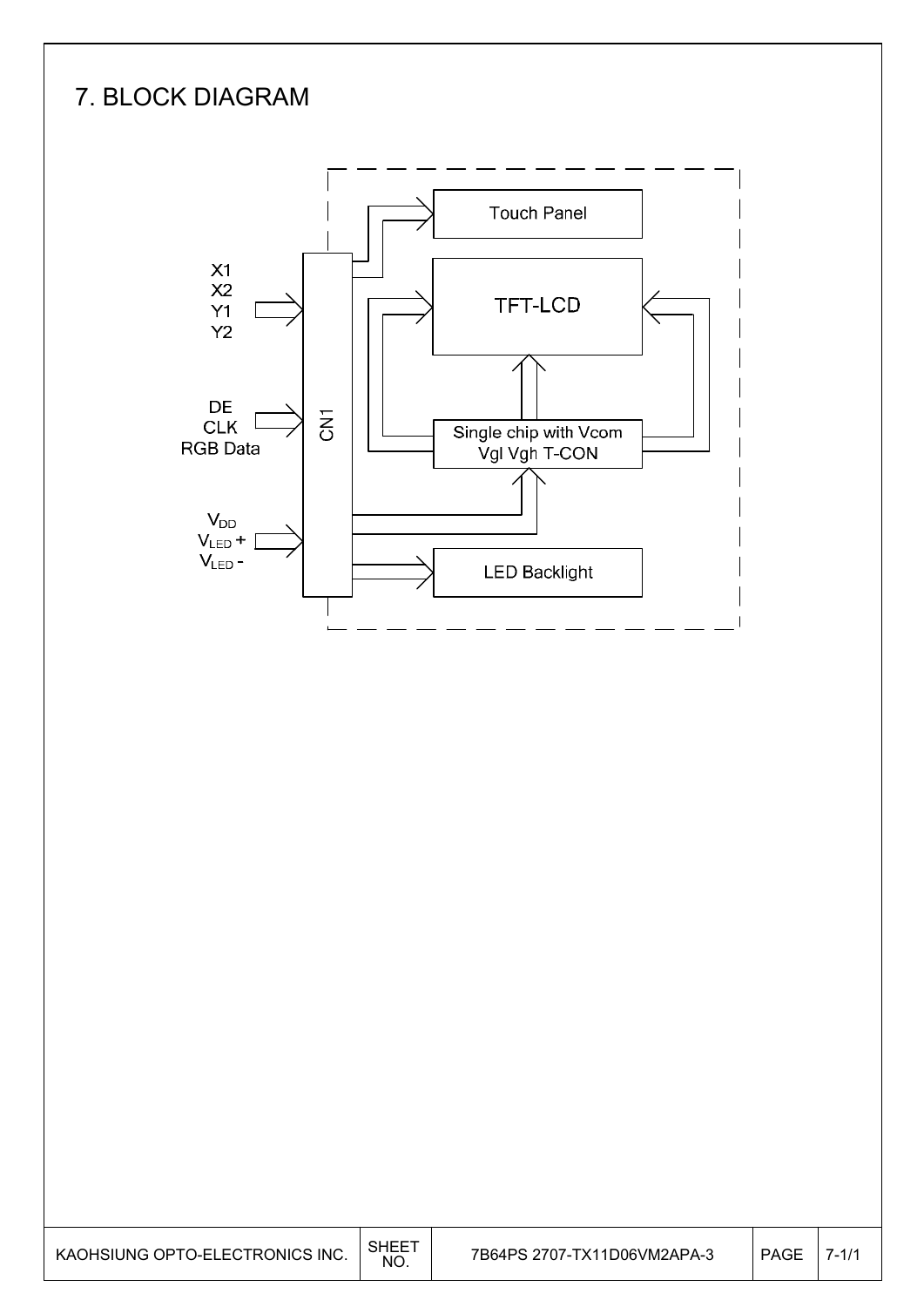# 7. BLOCK DIAGRAM



| KAOHSIUNG OPTO-ELECTRONICS INC. | SHEE <sup>T</sup><br>NO. | 7B64PS 2707-TX11D06VM2APA-3 | PAGE | $7 - 1/1$ |
|---------------------------------|--------------------------|-----------------------------|------|-----------|
|---------------------------------|--------------------------|-----------------------------|------|-----------|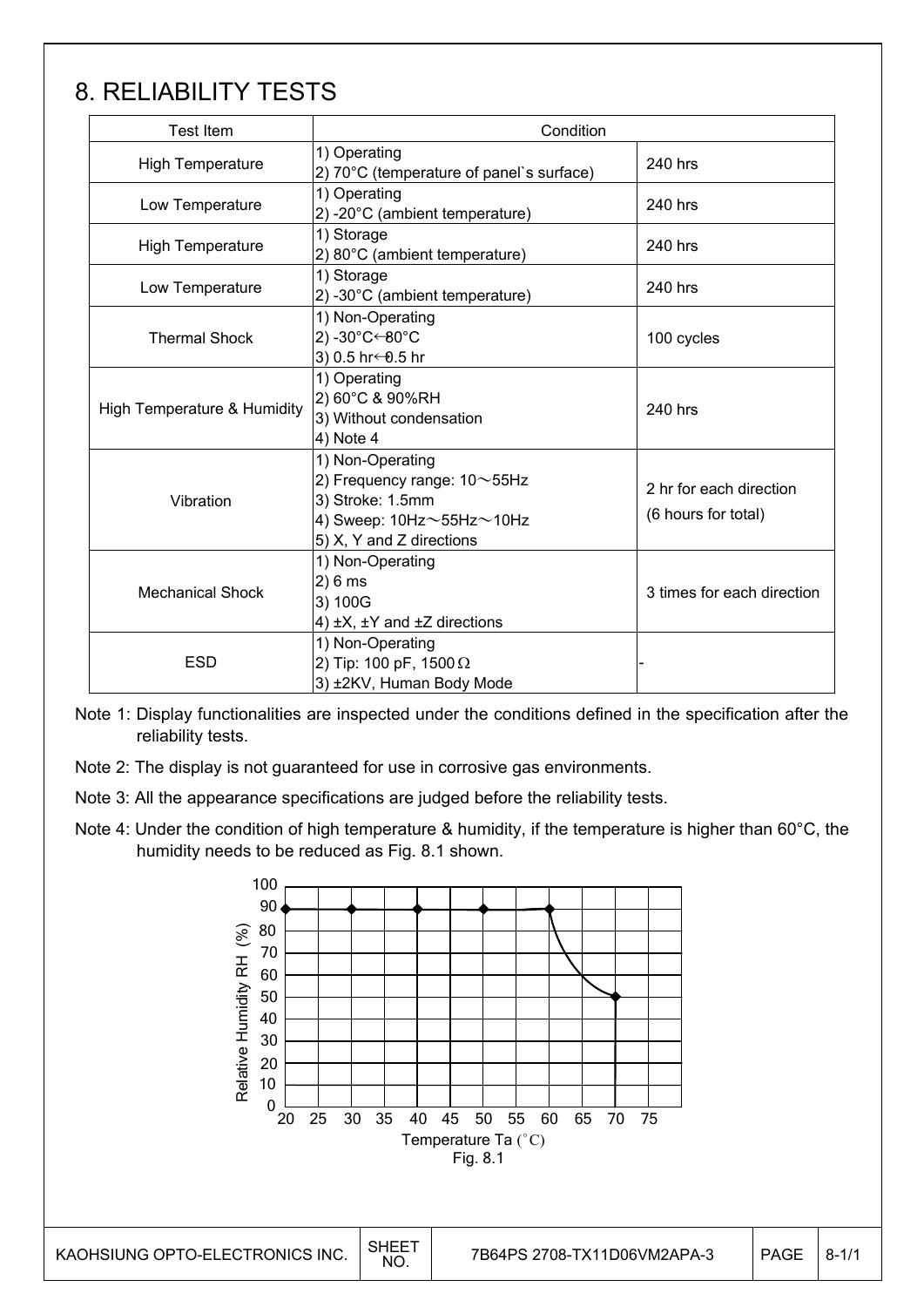# 8. RELIABILITY TESTS

| Test Item                   | Condition                                                                                                                                     |                                                |  |  |  |
|-----------------------------|-----------------------------------------------------------------------------------------------------------------------------------------------|------------------------------------------------|--|--|--|
| High Temperature            | 1) Operating<br>2) 70°C (temperature of panel's surface)                                                                                      | 240 hrs                                        |  |  |  |
| Low Temperature             | 1) Operating<br>2) -20°C (ambient temperature)                                                                                                | 240 hrs                                        |  |  |  |
| <b>High Temperature</b>     | 1) Storage<br>2) 80°C (ambient temperature)                                                                                                   | 240 hrs                                        |  |  |  |
| Low Temperature             | 1) Storage<br>2) -30°C (ambient temperature)                                                                                                  | 240 hrs                                        |  |  |  |
| <b>Thermal Shock</b>        | 1) Non-Operating<br>2) -30°C←80°C<br>3) 0.5 hr ← 0.5 hr                                                                                       | 100 cycles                                     |  |  |  |
| High Temperature & Humidity | 1) Operating<br>2) 60°C & 90%RH<br>3) Without condensation<br>4) Note 4                                                                       | 240 hrs                                        |  |  |  |
| Vibration                   | 1) Non-Operating<br>2) Frequency range: $10\sim$ 55Hz<br>3) Stroke: 1.5mm<br>4) Sweep: $10Hz \sim 55Hz \sim 10Hz$<br>5) X, Y and Z directions | 2 hr for each direction<br>(6 hours for total) |  |  |  |
| <b>Mechanical Shock</b>     | 1) Non-Operating<br>2)6 ms<br>3) 100G<br>4) $\pm$ X, $\pm$ Y and $\pm$ Z directions                                                           | 3 times for each direction                     |  |  |  |
| <b>ESD</b>                  | 1) Non-Operating<br>2) Tip: 100 pF, 1500 $\Omega$<br>3) ±2KV, Human Body Mode                                                                 |                                                |  |  |  |

Note 1: Display functionalities are inspected under the conditions defined in the specification after the reliability tests.

Note 2: The display is not guaranteed for use in corrosive gas environments.

Note 3: All the appearance specifications are judged before the reliability tests.

Note 4: Under the condition of high temperature & humidity, if the temperature is higher than 60°C, the humidity needs to be reduced as Fig. 8.1 shown.

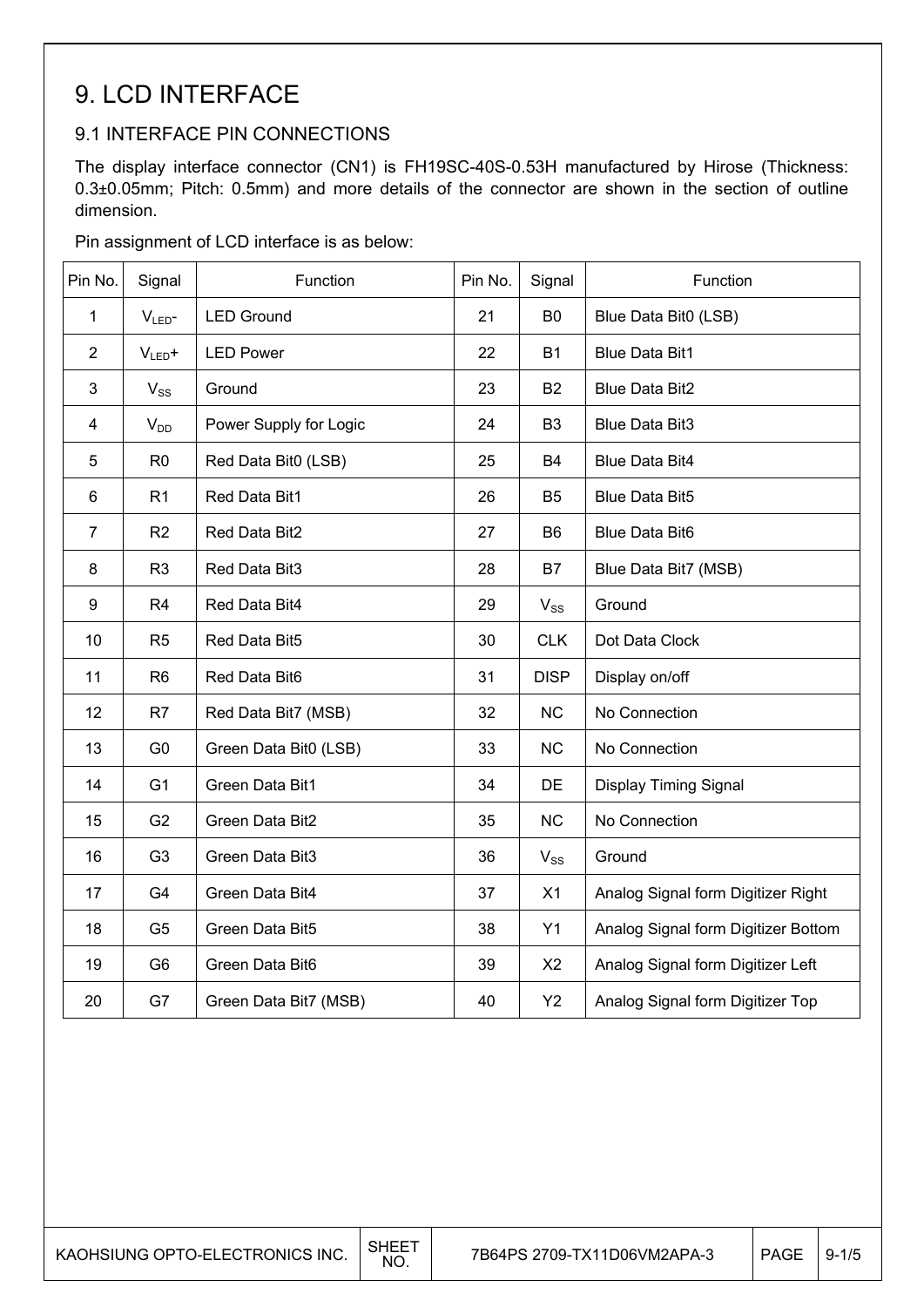### 9. LCD INTERFACE

### 9.1 INTERFACE PIN CONNECTIONS

The display interface connector (CN1) is FH19SC-40S-0.53H manufactured by Hirose (Thickness: 0.3±0.05mm; Pitch: 0.5mm) and more details of the connector are shown in the section of outline dimension.

Pin assignment of LCD interface is as below:

| Pin No.        | Signal           | Function               | Pin No. | Signal         | Function                            |
|----------------|------------------|------------------------|---------|----------------|-------------------------------------|
| $\mathbf 1$    | V <sub>LED</sub> | <b>LED Ground</b>      | 21      | B <sub>0</sub> | Blue Data Bit0 (LSB)                |
| $\overline{2}$ | $V_{LED}+$       | <b>LED Power</b>       | 22      | <b>B1</b>      | <b>Blue Data Bit1</b>               |
| 3              | $V_{SS}$         | Ground                 | 23      | <b>B2</b>      | <b>Blue Data Bit2</b>               |
| 4              | $V_{DD}$         | Power Supply for Logic | 24      | B <sub>3</sub> | <b>Blue Data Bit3</b>               |
| 5              | R <sub>0</sub>   | Red Data Bit0 (LSB)    | 25      | <b>B4</b>      | <b>Blue Data Bit4</b>               |
| 6              | R <sub>1</sub>   | Red Data Bit1          | 26      | <b>B5</b>      | <b>Blue Data Bit5</b>               |
| $\overline{7}$ | R2               | Red Data Bit2          | 27      | B <sub>6</sub> | <b>Blue Data Bit6</b>               |
| 8              | R <sub>3</sub>   | Red Data Bit3          | 28      | B7             | Blue Data Bit7 (MSB)                |
| 9              | R <sub>4</sub>   | Red Data Bit4          | 29      | $V_{SS}$       | Ground                              |
| 10             | R <sub>5</sub>   | Red Data Bit5          | 30      | <b>CLK</b>     | Dot Data Clock                      |
| 11             | R <sub>6</sub>   | Red Data Bit6          | 31      | <b>DISP</b>    | Display on/off                      |
| 12             | R7               | Red Data Bit7 (MSB)    | 32      | <b>NC</b>      | No Connection                       |
| 13             | G <sub>0</sub>   | Green Data Bit0 (LSB)  | 33      | <b>NC</b>      | No Connection                       |
| 14             | G <sub>1</sub>   | Green Data Bit1        | 34      | DE             | Display Timing Signal               |
| 15             | G <sub>2</sub>   | Green Data Bit2        | 35      | <b>NC</b>      | No Connection                       |
| 16             | G <sub>3</sub>   | Green Data Bit3        | 36      | $V_{SS}$       | Ground                              |
| 17             | G4               | Green Data Bit4        | 37      | X1             | Analog Signal form Digitizer Right  |
| 18             | G <sub>5</sub>   | Green Data Bit5        | 38      | Y1             | Analog Signal form Digitizer Bottom |
| 19             | G <sub>6</sub>   | Green Data Bit6        | 39      | X <sub>2</sub> | Analog Signal form Digitizer Left   |
| 20             | G7               | Green Data Bit7 (MSB)  | 40      | Y2             | Analog Signal form Digitizer Top    |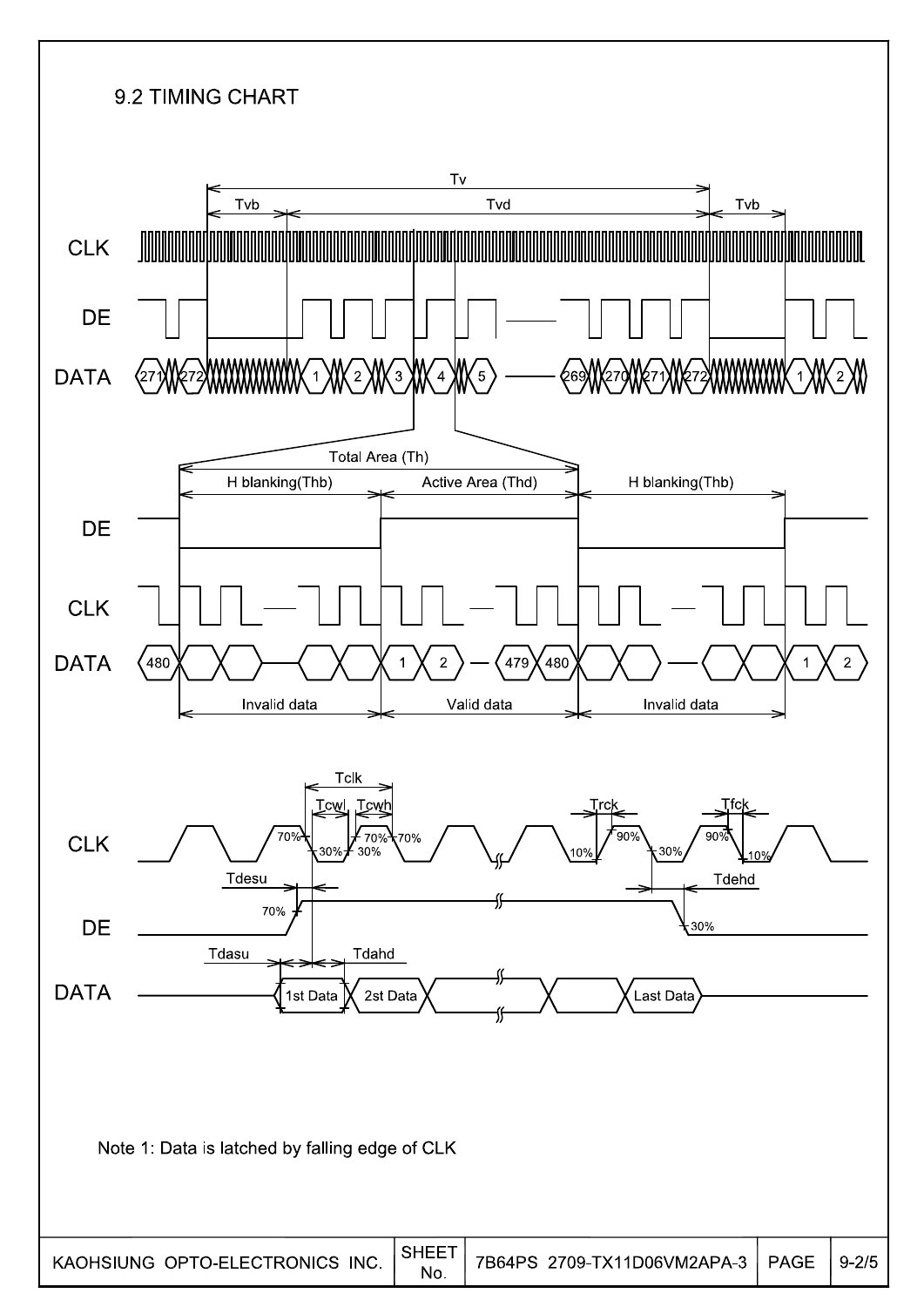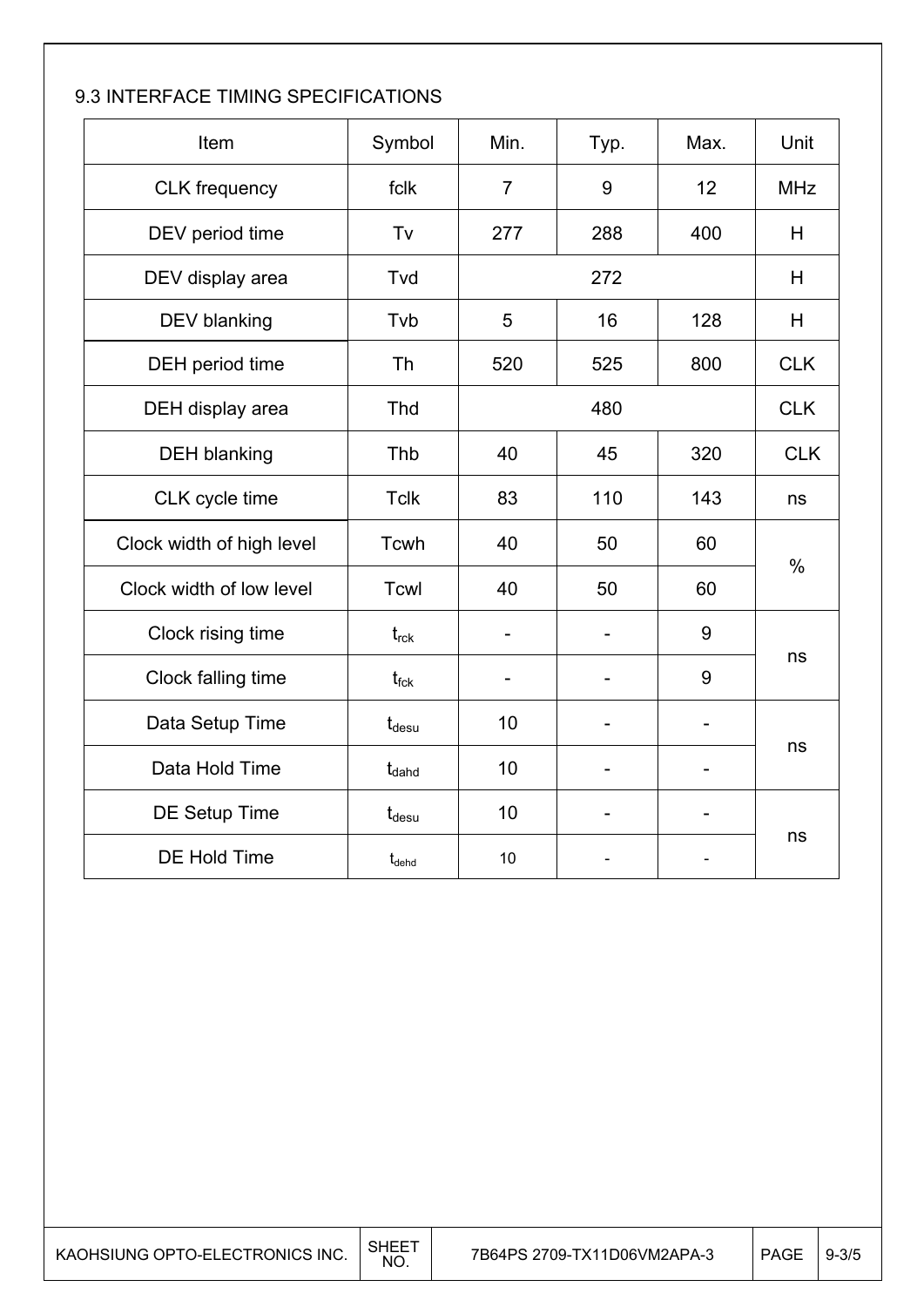### 9.3 INTERFACE TIMING SPECIFICATIONS

| Item                      | Symbol            | Min.           | Typ. | Max.              | Unit          |  |
|---------------------------|-------------------|----------------|------|-------------------|---------------|--|
| <b>CLK</b> frequency      | fclk              | $\overline{7}$ | 9    | 12                | <b>MHz</b>    |  |
| DEV period time           | Tv                | 277            | 288  | 400               | H             |  |
| DEV display area          | Tvd               |                | 272  |                   | H             |  |
| DEV blanking              | Tvb               | 5              | 16   | 128               | H             |  |
| DEH period time           | Th                | 520            | 525  | 800               | <b>CLK</b>    |  |
| DEH display area          | Thd               |                | 480  |                   |               |  |
| <b>DEH blanking</b>       | Thb               | 40             | 45   | 320               | <b>CLK</b>    |  |
| CLK cycle time            | <b>Tclk</b>       | 83             | 110  | 143               | ns            |  |
| Clock width of high level | Tcwh              | 40             | 50   | 60                |               |  |
| Clock width of low level  | Tcwl              | 40             | 50   | 60                | $\frac{0}{0}$ |  |
| Clock rising time         | $t_{\rm rck}$     |                |      | 9                 |               |  |
| Clock falling time        | t <sub>fck</sub>  |                |      | 9                 | ns            |  |
| Data Setup Time           | $t_{\rm desu}$    | 10             |      |                   |               |  |
| Data Hold Time            | t <sub>dahd</sub> | 10             |      |                   | ns            |  |
| DE Setup Time             | $t_{\rm desu}$    | 10             |      | $\qquad \qquad -$ |               |  |
| <b>DE Hold Time</b>       | $t_{\text{dehd}}$ | 10             |      |                   | ns            |  |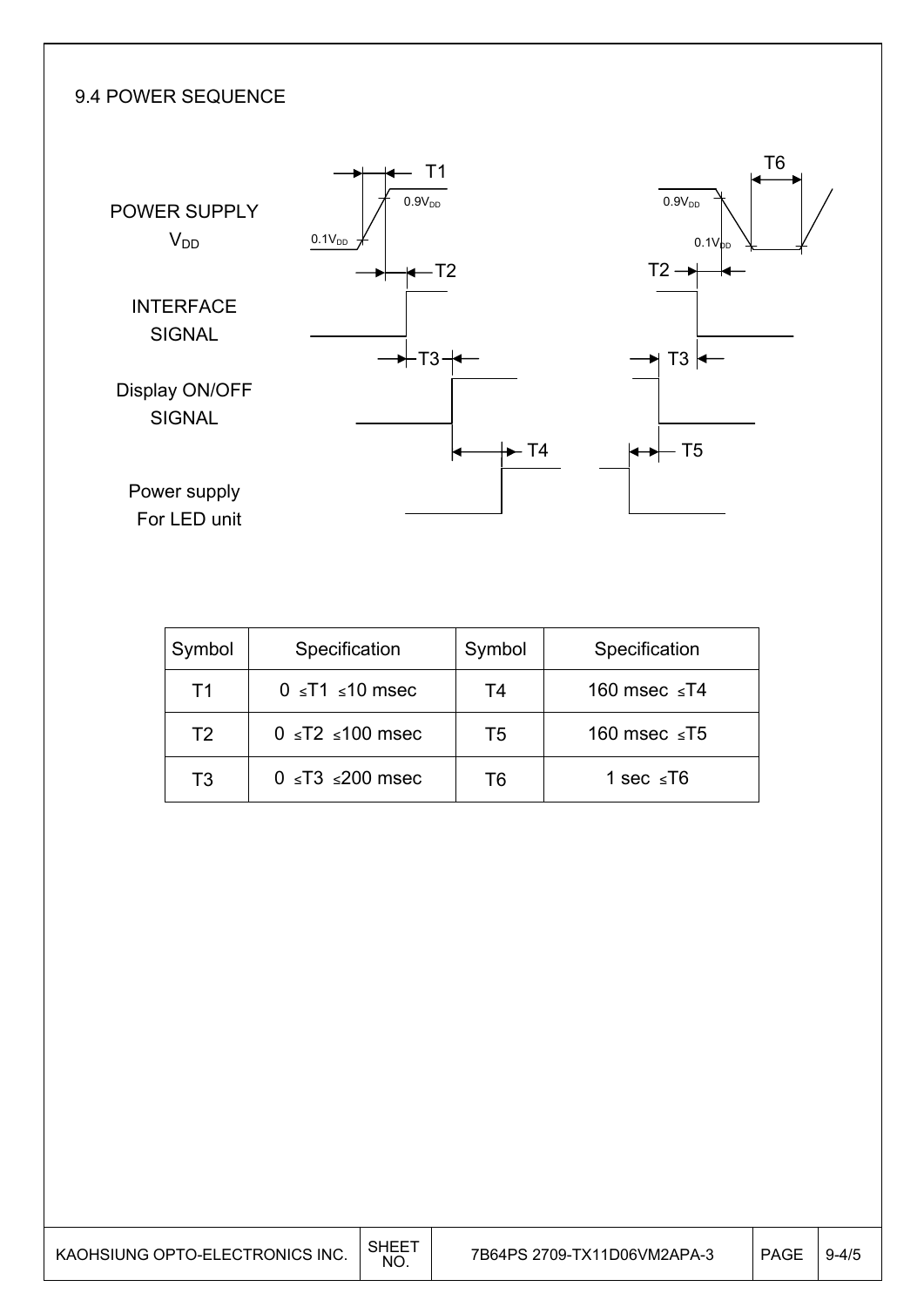### 9.4 POWER SEQUENCE



| Symbol         | Specification             | Symbol | Specification      |
|----------------|---------------------------|--------|--------------------|
| T1             | $0 \leq T1 \leq 10$ msec  | T4     | 160 msec $\leq$ T4 |
| T <sub>2</sub> | $0 \leq T2 \leq 100$ msec | T5     | 160 msec $\le$ T5  |
| T3             | $0 \leq T3 \leq 200$ msec | Τ6     | 1 sec $\leq$ T6    |

| KAOHSIUNG OPTO-ELECTRONICS INC. | <b>SHEE</b><br><b>NO</b> | 7B64PS 2709-TX11D06VM2APA-3 | <b>PAGE</b> | $9 - 4/5$ |
|---------------------------------|--------------------------|-----------------------------|-------------|-----------|
|---------------------------------|--------------------------|-----------------------------|-------------|-----------|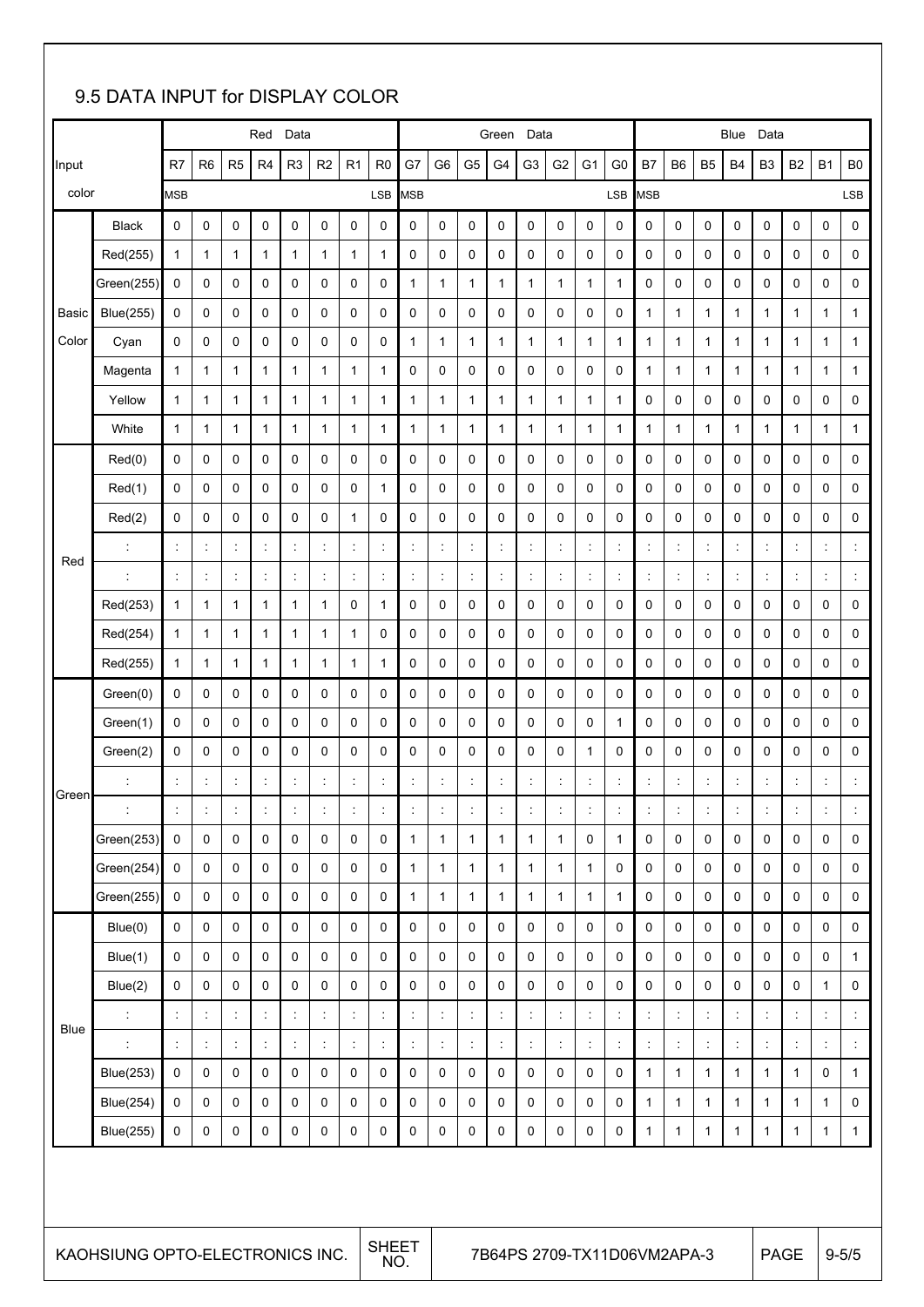### 9.5 DATA INPUT for DISPLAY COLOR

|             |                                                                                               |                      |                      |                      | Red            | Data                 |                      |             |                      |                      |                      |                      | Green                | Data                 |                      |                      |                |                      |                |                | Blue                 | Data                 |                      |                      |                |
|-------------|-----------------------------------------------------------------------------------------------|----------------------|----------------------|----------------------|----------------|----------------------|----------------------|-------------|----------------------|----------------------|----------------------|----------------------|----------------------|----------------------|----------------------|----------------------|----------------|----------------------|----------------|----------------|----------------------|----------------------|----------------------|----------------------|----------------|
| Input       |                                                                                               | R7                   | R <sub>6</sub>       | R <sub>5</sub>       | R <sub>4</sub> | R <sub>3</sub>       | R2                   | R1          | R <sub>0</sub>       | G7                   | G <sub>6</sub>       | G <sub>5</sub>       | G <sub>4</sub>       | G <sub>3</sub>       | G <sub>2</sub>       | G <sub>1</sub>       | G <sub>0</sub> | B7                   | B <sub>6</sub> | B <sub>5</sub> | B4                   | B <sub>3</sub>       | B <sub>2</sub>       | <b>B1</b>            | B <sub>0</sub> |
| color       |                                                                                               | <b>MSB</b>           |                      |                      |                |                      |                      |             | LSB                  | <b>MSB</b>           |                      |                      |                      |                      |                      |                      | <b>LSB</b>     | MSB                  |                |                |                      |                      |                      |                      | LSB            |
|             | <b>Black</b>                                                                                  | 0                    | 0                    | 0                    | 0              | 0                    | 0                    | 0           | 0                    | 0                    | 0                    | 0                    | 0                    | 0                    | 0                    | 0                    | 0              | 0                    | 0              | 0              | 0                    | 0                    | 0                    | 0                    | 0              |
|             | Red(255)                                                                                      | 1                    | 1                    | 1                    | 1              | 1                    | 1                    | 1           | $\mathbf{1}$         | 0                    | 0                    | 0                    | 0                    | 0                    | 0                    | 0                    | 0              | 0                    | 0              | 0              | 0                    | 0                    | 0                    | 0                    | 0              |
|             | Green(255)                                                                                    | 0                    | 0                    | 0                    | 0              | 0                    | 0                    | 0           | 0                    | 1                    | 1                    | 1                    | 1                    | 1                    | $\mathbf{1}$         | 1                    | 1              | 0                    | 0              | 0              | 0                    | 0                    | 0                    | 0                    | 0              |
| Basic       | <b>Blue(255)</b>                                                                              | 0                    | 0                    | 0                    | 0              | 0                    | 0                    | 0           | 0                    | 0                    | 0                    | 0                    | 0                    | 0                    | 0                    | 0                    | 0              | $\mathbf{1}$         | $\mathbf{1}$   | 1              | $\mathbf{1}$         | 1                    | 1                    | $\mathbf{1}$         | 1              |
| Color       | Cyan                                                                                          | $\mathbf 0$          | 0                    | 0                    | 0              | 0                    | 0                    | 0           | 0                    | 1                    | 1                    | $\mathbf{1}$         | 1                    | 1                    | $\mathbf{1}$         | $\mathbf{1}$         | 1              | $\mathbf{1}$         | $\mathbf{1}$   | 1              | $\mathbf{1}$         | $\mathbf{1}$         | 1                    | $\mathbf{1}$         | $\mathbf{1}$   |
|             | Magenta                                                                                       | $\mathbf{1}$         | 1                    | 1                    | 1              | 1                    | 1                    | 1           | $\mathbf{1}$         | 0                    | 0                    | 0                    | 0                    | 0                    | 0                    | 0                    | 0              | $\mathbf{1}$         | $\mathbf{1}$   | 1              | $\mathbf{1}$         | $\mathbf{1}$         | 1                    | $\mathbf{1}$         | $\mathbf{1}$   |
|             | Yellow                                                                                        | 1                    | 1                    | 1                    | 1              | 1                    | 1                    | 1           | $\mathbf{1}$         | $\mathbf{1}$         | 1                    | $\mathbf{1}$         | 1                    | 1                    | $\mathbf{1}$         | $\mathbf{1}$         | 1              | 0                    | 0              | 0              | 0                    | 0                    | 0                    | 0                    | 0              |
|             | White                                                                                         | $\mathbf{1}$         | 1                    | 1                    | 1              | 1                    | 1                    | 1           | $\mathbf{1}$         | 1                    | 1                    | 1                    | 1                    | 1                    | 1                    | $\mathbf{1}$         | 1              | $\mathbf{1}$         | $\mathbf{1}$   | 1              | $\mathbf{1}$         | $\mathbf{1}$         | 1                    | 1                    | 1              |
|             | Red(0)                                                                                        | 0                    | 0                    | 0                    | 0              | 0                    | 0                    | 0           | 0                    | 0                    | 0                    | 0                    | 0                    | 0                    | 0                    | 0                    | 0              | 0                    | 0              | 0              | 0                    | 0                    | 0                    | 0                    | 0              |
|             | Red(1)                                                                                        | 0                    | 0                    | 0                    | 0              | 0                    | 0                    | 0           | $\mathbf{1}$         | 0                    | 0                    | 0                    | 0                    | 0                    | 0                    | 0                    | 0              | 0                    | 0              | 0              | 0                    | 0                    | 0                    | 0                    | 0              |
|             | Red(2)                                                                                        | $\mathbf 0$          | 0                    | 0                    | 0              | 0                    | 0                    | 1           | 0                    | 0                    | 0                    | 0                    | 0                    | 0                    | 0                    | 0                    | 0              | 0                    | 0              | 0              | 0                    | 0                    | 0                    | 0                    | 0              |
| Red         | t                                                                                             | $\ddot{\cdot}$       | $\ddot{\cdot}$       | $\ddot{\cdot}$       | ÷              | $\ddot{\phantom{a}}$ | $\ddot{\phantom{a}}$ | ÷           | ł,                   | $\ddot{\phantom{a}}$ |                      | $\ddot{\cdot}$       | $\ddot{\cdot}$       |                      | $\ddot{\cdot}$       | t                    |                | $\ddot{\cdot}$       | ÷              | ċ              | $\ddot{\phantom{a}}$ | $\ddot{\phantom{a}}$ | $\ddot{\cdot}$       | $\ddot{\phantom{a}}$ |                |
|             | ċ                                                                                             | $\ddot{\phantom{a}}$ | $\ddot{\phantom{a}}$ | $\ddot{\phantom{a}}$ |                | $\ddot{\phantom{a}}$ | $\ddot{\phantom{a}}$ |             | $\ddot{\phantom{a}}$ | $\ddot{\phantom{a}}$ |                      | $\ddot{\phantom{a}}$ | $\ddot{\cdot}$       |                      | $\ddot{\phantom{a}}$ | $\ddot{\phantom{a}}$ |                | $\vdots$             | $\ddot{\cdot}$ |                | $\ddot{\phantom{a}}$ | $\ddot{\phantom{a}}$ |                      | $\ddot{\phantom{a}}$ |                |
|             | Red(253)                                                                                      | 1                    | $\mathbf{1}$         | 1                    | 1              | 1                    | 1                    | 0           | 1                    | 0                    | 0                    | 0                    | 0                    | 0                    | 0                    | 0                    | 0              | 0                    | 0              | 0              | 0                    | 0                    | 0                    | 0                    | 0              |
|             | Red(254)                                                                                      | 1                    | 1                    | 1                    | 1              | 1                    | 1                    | 1           | 0                    | 0                    | 0                    | 0                    | 0                    | 0                    | 0                    | 0                    | 0              | 0                    | 0              | 0              | 0                    | 0                    | 0                    | 0                    | 0              |
|             | Red(255)                                                                                      | 1                    | 1                    | 1                    | 1              | 1                    | 1                    | 1           | 1                    | 0                    | 0                    | 0                    | 0                    | 0                    | 0                    | 0                    | 0              | 0                    | 0              | 0              | 0                    | 0                    | 0                    | 0                    | 0              |
|             | Green(0)                                                                                      | 0                    | 0                    | 0                    | 0              | 0                    | 0                    | 0           | 0                    | 0                    | 0                    | 0                    | 0                    | 0                    | 0                    | 0                    | 0              | 0                    | 0              | 0              | 0                    | 0                    | 0                    | $\mathbf 0$          | 0              |
|             | Green(1)                                                                                      | $\mathbf 0$          | 0                    | 0                    | 0              | 0                    | 0                    | 0           | 0                    | 0                    | 0                    | 0                    | 0                    | 0                    | 0                    | 0                    | 1              | 0                    | 0              | 0              | 0                    | 0                    | 0                    | 0                    | 0              |
|             | Green(2)                                                                                      | $\mathbf 0$          | 0                    | 0                    | 0              | 0                    | 0                    | 0           | 0                    | 0                    | 0                    | 0                    | 0                    | 0                    | 0                    | $\mathbf{1}$         | 0              | 0                    | 0              | 0              | 0                    | 0                    | 0                    | 0                    | 0              |
| Green       |                                                                                               | ÷                    | t                    | ÷                    |                | ÷                    | $\ddot{\phantom{a}}$ |             | t                    |                      |                      | t                    | $\ddot{\cdot}$       |                      | $\ddot{\phantom{a}}$ | ÷                    |                | t                    |                |                | ÷                    | $\ddot{\phantom{a}}$ |                      | t                    |                |
|             |                                                                                               |                      | $\ddot{\phantom{a}}$ |                      |                | $\ddot{\cdot}$       |                      |             | t                    |                      |                      | t                    |                      |                      | $\ddot{\phantom{a}}$ |                      |                | $\ddot{\phantom{a}}$ |                |                | $\ddot{\phantom{0}}$ |                      |                      | $\ddot{\phantom{0}}$ |                |
|             | Green(253)                                                                                    | $\mathbf 0$          | $\Omega$             | 0                    | $\Omega$       | $\Omega$             | 0                    | $\Omega$    | $\Omega$             | $\mathbf{1}$         | $\mathbf{1}$         | $\mathbf{1}$         | $\mathbf{1}$         | 1                    | $\mathbf{1}$         | 0                    | $\mathbf{1}$   | $\Omega$             | 0              | $\Omega$       | 0                    | 0                    | $\Omega$             | $\mathbf 0$          | 0              |
|             | Green(254)                                                                                    | 0                    | 0                    | 0                    | 0              | 0                    | 0                    | 0           | 0                    | $\mathbf{1}$         | 1                    | $\mathbf{1}$         | $\mathbf{1}$         | $\mathbf{1}$         | $\mathbf{1}$         | $\mathbf{1}$         | 0              | 0                    | 0              | 0              | 0                    | 0                    | 0                    | 0                    | 0              |
|             | Green(255)                                                                                    | 0                    | $\mathbf 0$          | 0                    | 0              | 0                    | 0                    | 0           | 0                    | $\mathbf{1}$         | 1                    | $\mathbf{1}$         | $\mathbf{1}$         | 1                    | $\mathbf{1}$         | $\mathbf{1}$         | 1              | $\mathbf 0$          | 0              | 0              | 0                    | 0                    | 0                    | $\mathbf 0$          | $\mathbf 0$    |
|             | Blue(0)                                                                                       | $\mathbf 0$          | 0                    | 0                    | $\mathbf 0$    | 0                    | 0                    | $\mathbf 0$ | 0                    | 0                    | 0                    | 0                    | 0                    | 0                    | $\mathbf 0$          | 0                    | 0              | $\mathbf 0$          | 0              | $\mathbf 0$    | 0                    | 0                    | 0                    | 0                    | $\mathbf 0$    |
|             | Blue(1)                                                                                       | 0                    | 0                    | 0                    | 0              | 0                    | 0                    | 0           | 0                    | 0                    | 0                    | 0                    | 0                    | 0                    | $\mathbf 0$          | 0                    | 0              | $\mathbf 0$          | 0              | 0              | 0                    | 0                    | 0                    | 0                    | $\mathbf{1}$   |
|             | Blue(2)                                                                                       | $\Omega$             | $\mathbf 0$          | 0                    | $\mathbf 0$    | 0                    | 0                    | 0           | $\mathbf 0$          | 0                    | $\mathbf 0$          | $\Omega$             | 0                    | 0                    | $\mathbf 0$          | $\mathbf 0$          | 0              | $\Omega$             | $\mathbf 0$    | 0              | $\mathbf 0$          | $\mathbf 0$          | 0                    | $\mathbf{1}$         | $\mathbf 0$    |
| <b>Blue</b> | $\ddot{\cdot}$                                                                                | ÷                    | ÷                    | ÷                    | t              | ÷                    | ÷                    | t           | ÷                    | ÷                    | $\ddot{\phantom{a}}$ | ÷                    | $\ddot{\phantom{a}}$ | $\ddot{\phantom{a}}$ | $\ddot{\phantom{a}}$ | ÷                    | ÷              | $\ddot{\phantom{a}}$ | ÷              | ÷              | ÷                    | ÷                    | $\ddot{\phantom{a}}$ | ÷                    |                |
|             | ÷                                                                                             | ÷                    | ÷                    | ÷                    | ÷              | ÷                    | ÷                    | ÷           | ÷                    | ÷                    | $\ddot{\phantom{a}}$ | ÷                    | ÷                    | $\ddot{\phantom{a}}$ | $\ddot{\phantom{a}}$ | ÷                    | ÷              | $\ddot{\phantom{a}}$ | ÷              | ÷              | ÷                    | ÷                    | ÷                    | ÷                    |                |
|             | <b>Blue(253)</b>                                                                              | 0                    | 0                    | 0                    | 0              | 0                    | 0                    | 0           | 0                    | 0                    | 0                    | 0                    | 0                    | 0                    | 0                    | 0                    | 0              | $\mathbf{1}$         | $\mathbf{1}$   | 1              | $\mathbf{1}$         | $\mathbf{1}$         | 1                    | 0                    | $\mathbf{1}$   |
|             | <b>Blue(254)</b>                                                                              | 0                    | 0                    | 0                    | 0              | 0                    | 0                    | 0           | 0                    | 0                    | 0                    | 0                    | 0                    | 0                    | 0                    | 0                    | 0              | $\mathbf{1}$         | 1              | 1              | $\mathbf{1}$         | $\mathbf{1}$         | 1                    | $\mathbf{1}$         | 0              |
|             | <b>Blue(255)</b>                                                                              | $\mathbf 0$          | 0                    | 0                    | 0              | 0                    | 0                    | 0           | $\mathsf 0$          | 0                    | 0                    | 0                    | 0                    | 0                    | $\mathbf 0$          | 0                    | 0              | $\mathbf{1}$         | $\mathbf{1}$   | $\mathbf{1}$   | $\mathbf{1}$         | $\mathbf{1}$         | 1                    | $\mathbf{1}$         | $\mathbf{1}$   |
|             | <b>SHEET</b><br>7B64PS 2709-TX11D06VM2APA-3<br>KAOHSIUNG OPTO-ELECTRONICS INC.<br><b>PAGE</b> |                      |                      |                      |                |                      | $9 - 5/5$            |             |                      |                      |                      |                      |                      |                      |                      |                      |                |                      |                |                |                      |                      |                      |                      |                |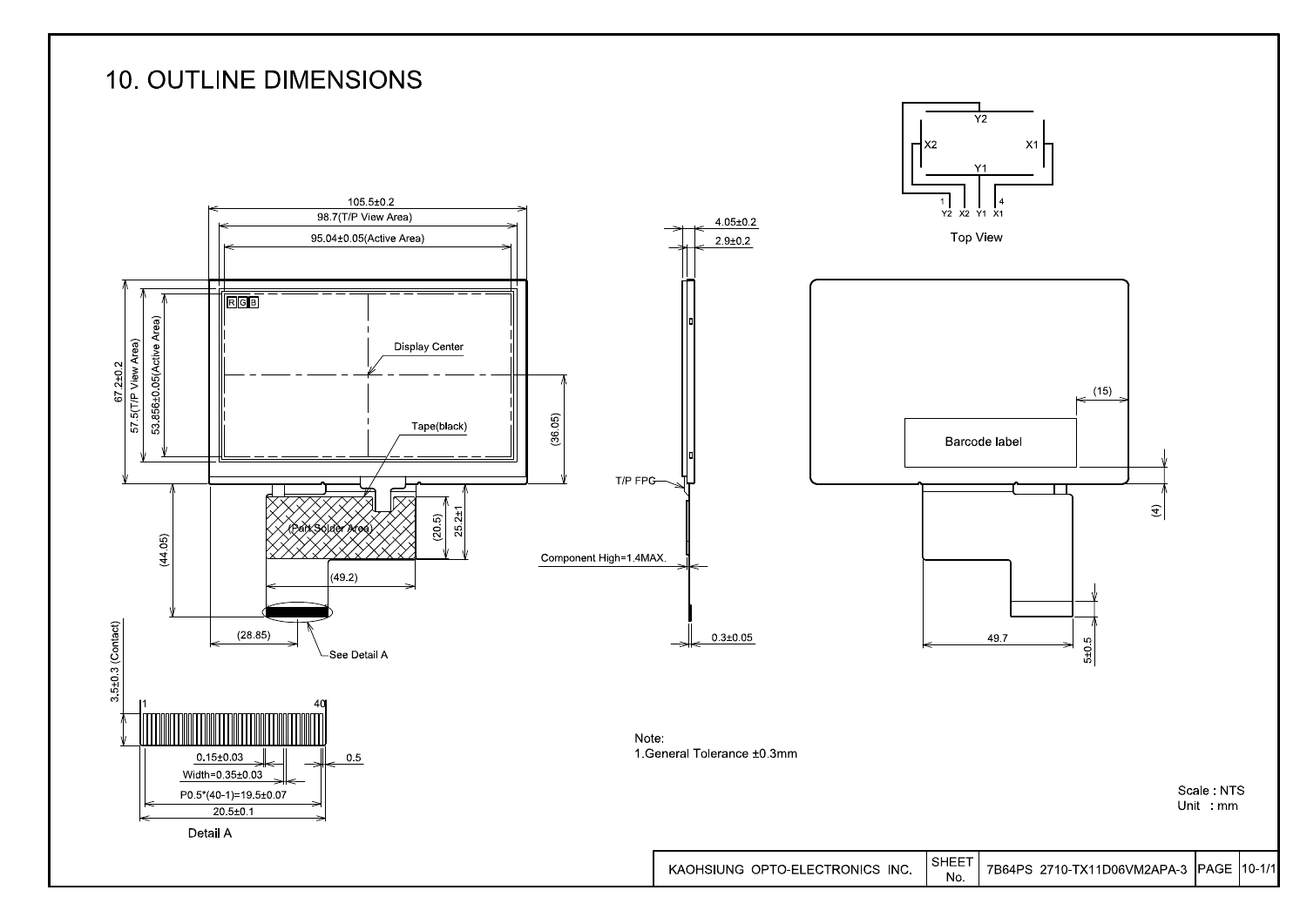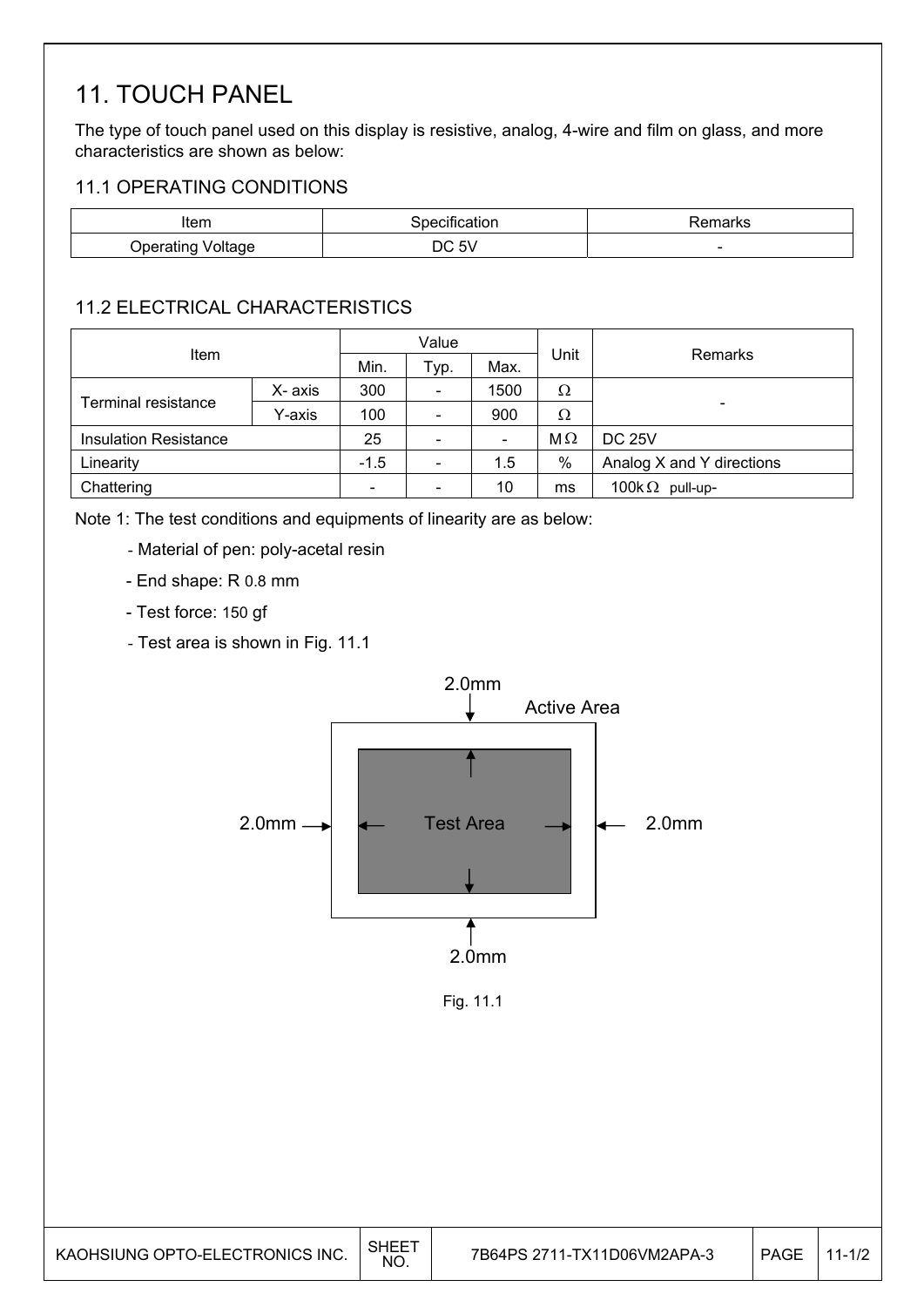### 11. TOUCH PANEL

The type of touch panel used on this display is resistive, analog, 4-wire and film on glass, and more characteristics are shown as below:

### 11.1 OPERATING CONDITIONS

| Item                 | Specification | emarks |
|----------------------|---------------|--------|
| Voltage<br>Jperatino | Б١.<br>DC 5V  | -      |

### 11.2 ELECTRICAL CHARACTERISTICS

| Item                         |        |        | Value                    |                              |           | Remarks                   |  |
|------------------------------|--------|--------|--------------------------|------------------------------|-----------|---------------------------|--|
|                              |        | Min.   | Typ.                     | Max.                         | Unit      |                           |  |
|                              | X-axis | 300    | $\overline{\phantom{0}}$ | 1500                         | Ω         |                           |  |
| <b>Terminal resistance</b>   | Y-axis | 100    | -                        | 900                          | Ω         |                           |  |
| <b>Insulation Resistance</b> |        | 25     | $\overline{\phantom{0}}$ | $\qquad \qquad \blacksquare$ | $M\Omega$ | <b>DC 25V</b>             |  |
| Linearity                    |        | $-1.5$ | $\overline{\phantom{0}}$ | 1.5                          | %         | Analog X and Y directions |  |
| Chattering                   |        |        |                          | 10                           | ms        | 100k $\Omega$ pull-up-    |  |

Note 1: The test conditions and equipments of linearity are as below:

- Material of pen: poly-acetal resin
- End shape: R 0.8 mm
- Test force: 150 gf
- Test area is shown in Fig. 11.1



Fig. 11.1

| KAOHSIUNG OPTO-ELECTRONICS INC. | SHEET<br>NO. |  | PAGE | $11-1/2$ |
|---------------------------------|--------------|--|------|----------|
|---------------------------------|--------------|--|------|----------|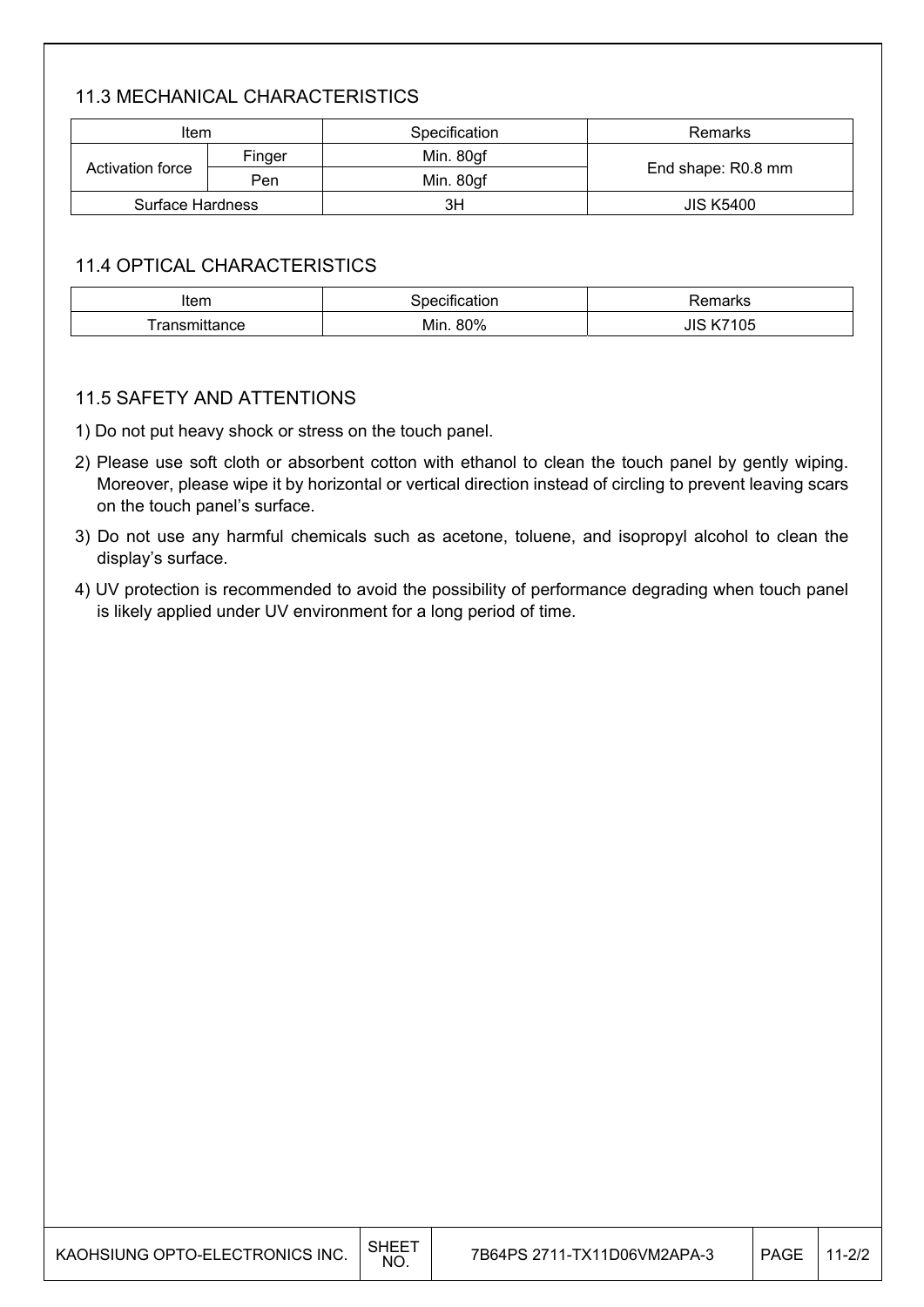#### 11.3 MECHANICAL CHARACTERISTICS

| Item             |                  | Specification | Remarks            |  |
|------------------|------------------|---------------|--------------------|--|
| Finger           | Min. 80gf        |               |                    |  |
| Activation force | Min. 80gf<br>Pen |               | End shape: R0.8 mm |  |
| Surface Hardness |                  | ЗH            | <b>JIS K5400</b>   |  |

#### 11.4 OPTICAL CHARACTERISTICS

| Item                                | . .<br>cification<br>ാ0e¢" | marka<br>Παι κε |
|-------------------------------------|----------------------------|-----------------|
| ronen<br>∟∩רttan<br>tance<br>Ш<br>a | 80%<br>Min.                | 05<br>JIJ       |

#### 11.5 SAFETY AND ATTENTIONS

1) Do not put heavy shock or stress on the touch panel.

- 2) Please use soft cloth or absorbent cotton with ethanol to clean the touch panel by gently wiping. Moreover, please wipe it by horizontal or vertical direction instead of circling to prevent leaving scars on the touch panel's surface.
- 3) Do not use any harmful chemicals such as acetone, toluene, and isopropyl alcohol to clean the display's surface.
- 4) UV protection is recommended to avoid the possibility of performance degrading when touch panel is likely applied under UV environment for a long period of time.

| KAOHSIUNG OPTO-ELECTRONICS INC. | SHEE <sup>7</sup><br>NO. | 7B64PS 2711-TX11D06VM2APA-3 | PAGE | $11 - 2/2$ |
|---------------------------------|--------------------------|-----------------------------|------|------------|
|---------------------------------|--------------------------|-----------------------------|------|------------|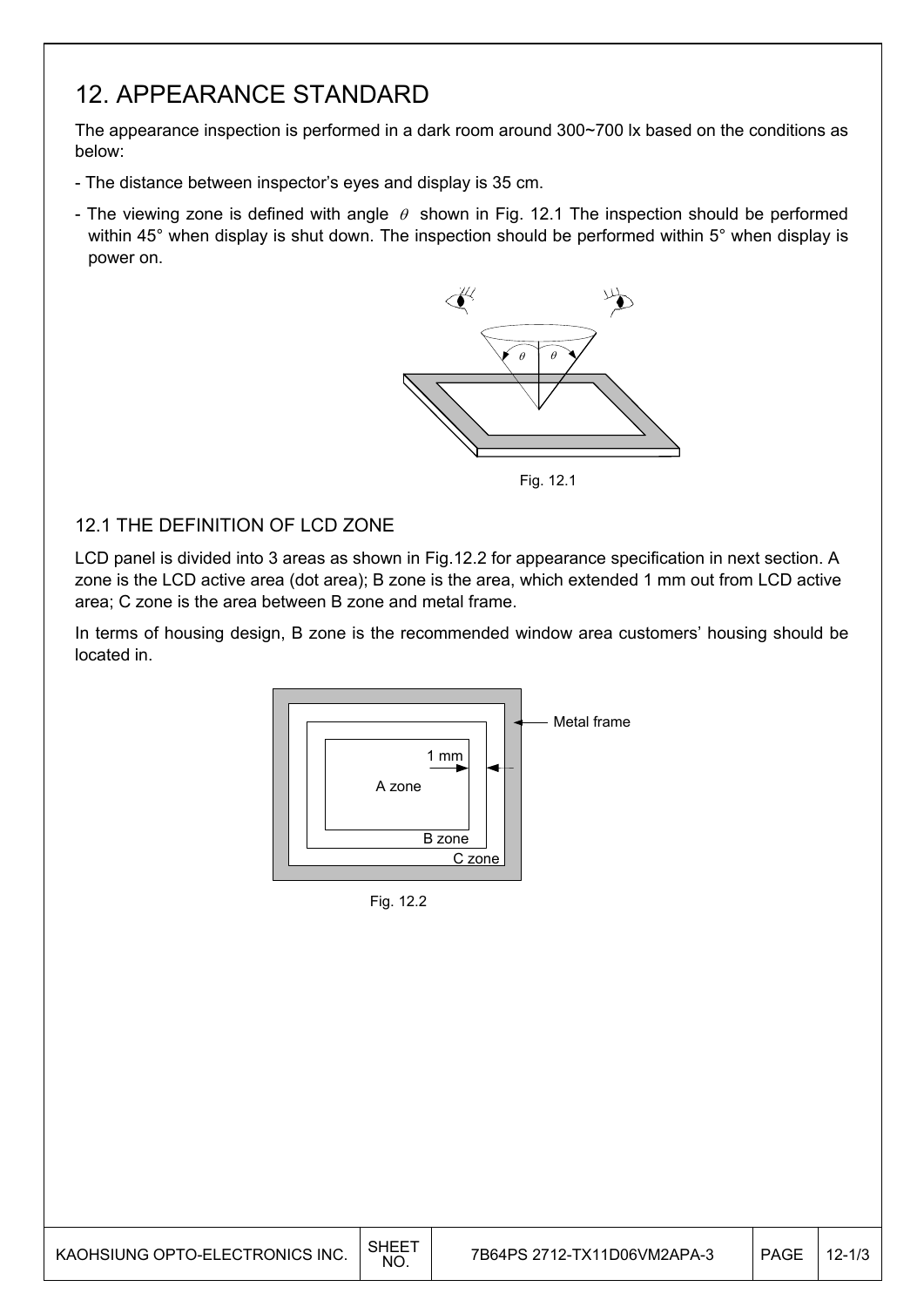### 12. APPEARANCE STANDARD

The appearance inspection is performed in a dark room around 300~700 lx based on the conditions as below:

- The distance between inspector's eyes and display is 35 cm.
- The viewing zone is defined with angle  $\theta$  shown in Fig. 12.1 The inspection should be performed within 45° when display is shut down. The inspection should be performed within 5° when display is power on.



Fig. 12.1

#### 12.1 THE DEFINITION OF LCD ZONE

LCD panel is divided into 3 areas as shown in Fig.12.2 for appearance specification in next section. A zone is the LCD active area (dot area); B zone is the area, which extended 1 mm out from LCD active area; C zone is the area between B zone and metal frame.

In terms of housing design, B zone is the recommended window area customers' housing should be located in.



Fig. 12.2

| KAOHSIUNG OPTO-ELECTRONICS INC. | SHEE <sup>-</sup><br><b>NO</b> | 7B64PS 2712-TX11D06VM2APA-3 | PAGE | $'$ 12-1/3 |
|---------------------------------|--------------------------------|-----------------------------|------|------------|
|---------------------------------|--------------------------------|-----------------------------|------|------------|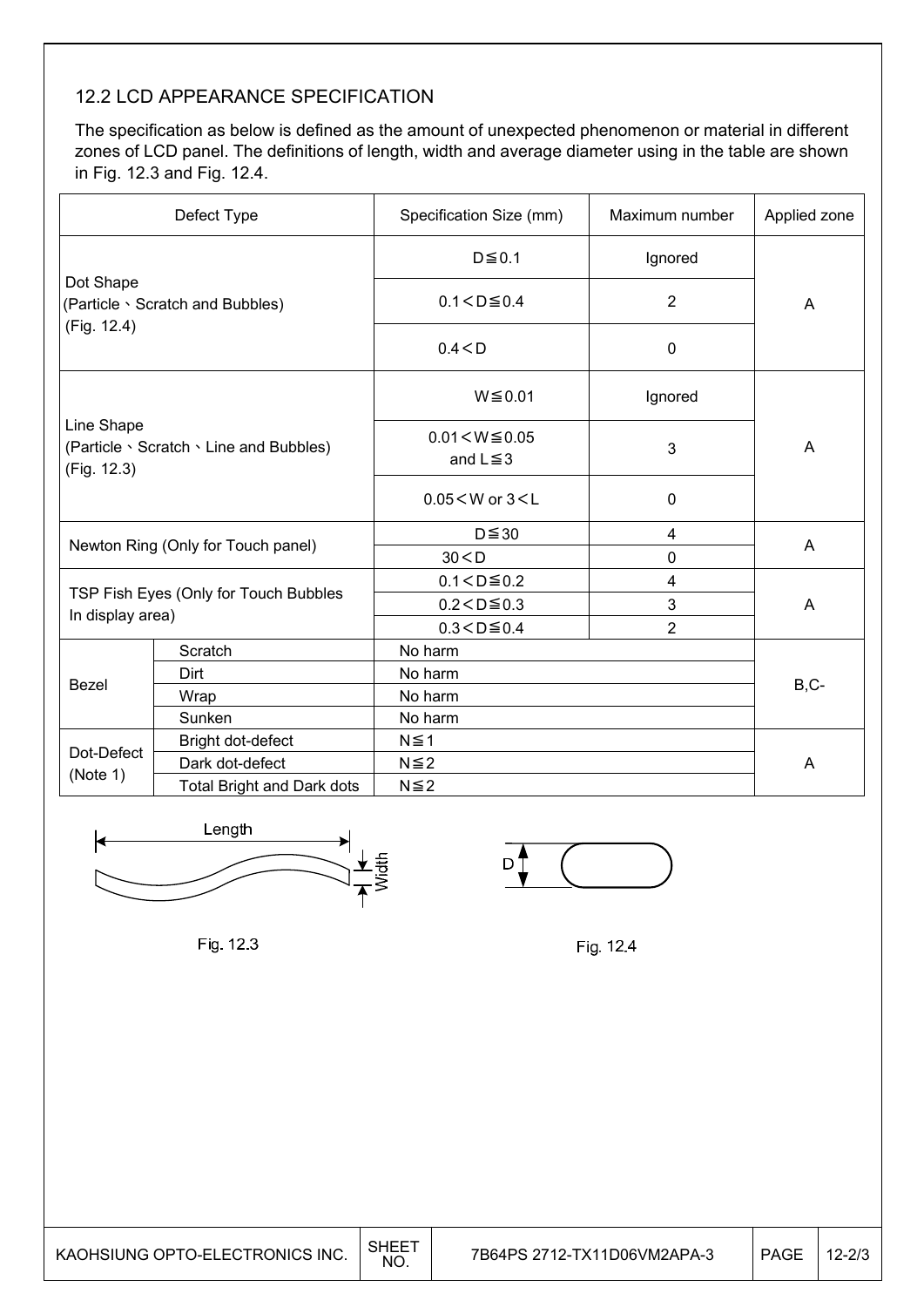#### 12.2 LCD APPEARANCE SPECIFICATION

The specification as below is defined as the amount of unexpected phenomenon or material in different zones of LCD panel. The definitions of length, width and average diameter using in the table are shown in Fig. 12.3 and Fig. 12.4.

|                                                                      | Defect Type                           | Specification Size (mm)               | Maximum number | Applied zone |  |
|----------------------------------------------------------------------|---------------------------------------|---------------------------------------|----------------|--------------|--|
|                                                                      |                                       | $D \le 0.1$                           | Ignored        |              |  |
| Dot Shape<br>(Particle \ Scratch and Bubbles)<br>(Fig. 12.4)         |                                       | $0.1 < D \le 0.4$                     | $\overline{2}$ | A            |  |
|                                                                      |                                       | 0.4 < D                               | $\mathbf 0$    |              |  |
|                                                                      |                                       | $W \le 0.01$                          | Ignored        |              |  |
| Line Shape<br>(Particle \ Scratch \ Line and Bubbles)<br>(Fig. 12.3) |                                       | $0.01 < W \le 0.05$<br>and $L \leq 3$ | 3              | A            |  |
|                                                                      |                                       | $0.05 < W$ or $3 < L$                 | 0              |              |  |
|                                                                      |                                       | $D \leq 30$                           | 4              |              |  |
|                                                                      | Newton Ring (Only for Touch panel)    | 30 < D<br>0                           |                | A            |  |
|                                                                      |                                       | $0.1 < D \le 0.2$                     | 4              |              |  |
|                                                                      | TSP Fish Eyes (Only for Touch Bubbles | $0.2 < D \le 0.3$                     | 3              | A            |  |
| In display area)                                                     |                                       | $0.3 < D \le 0.4$                     | $\overline{2}$ |              |  |
|                                                                      | Scratch                               | No harm                               |                |              |  |
| Bezel                                                                | Dirt                                  | No harm                               |                | B,C-         |  |
|                                                                      | Wrap                                  | No harm                               |                |              |  |
|                                                                      | Sunken                                | No harm                               |                |              |  |
| Dot-Defect                                                           | Bright dot-defect                     | $N \leq 1$                            |                |              |  |
| (Note 1)                                                             | Dark dot-defect                       | $N \leq 2$                            |                | A            |  |
|                                                                      | <b>Total Bright and Dark dots</b>     | $N \leq 2$                            |                |              |  |



Fig. 12.3

Fig. 12.4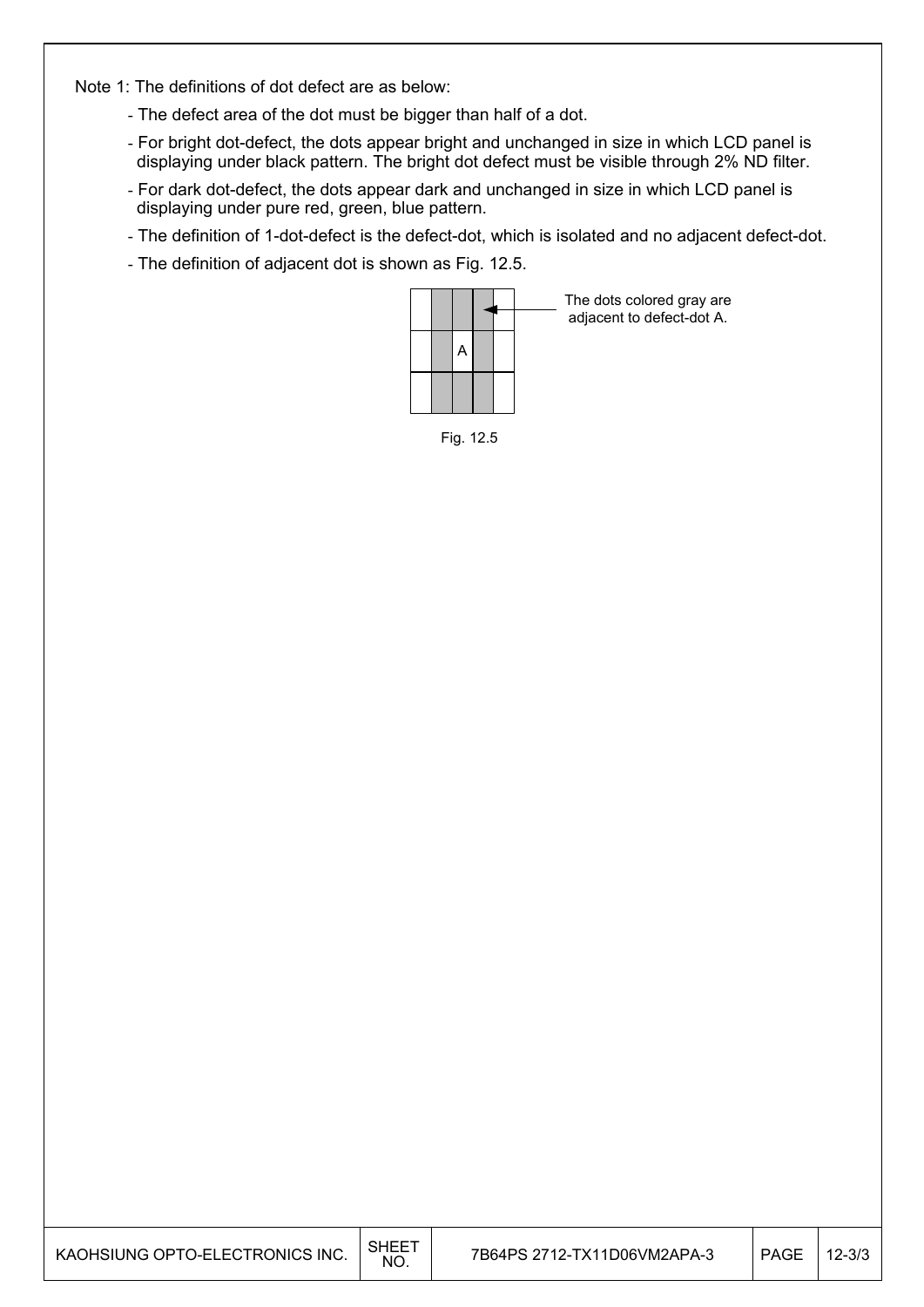Note 1: The definitions of dot defect are as below:

- The defect area of the dot must be bigger than half of a dot.
- For bright dot-defect, the dots appear bright and unchanged in size in which LCD panel is displaying under black pattern. The bright dot defect must be visible through 2% ND filter.
- For dark dot-defect, the dots appear dark and unchanged in size in which LCD panel is displaying under pure red, green, blue pattern.
- The definition of 1-dot-defect is the defect-dot, which is isolated and no adjacent defect-dot.
- The definition of adjacent dot is shown as Fig. 12.5.



The dots colored gray are adjacent to defect-dot A.

Fig. 12.5

| KAOHSIUNG OPTO-ELECTRONICS INC. | SHEE <sup>-</sup><br>NO. | 7B64PS 2712-TX11D06VM2APA-3 | <b>PAGE</b> | $12 - 3/3$ |
|---------------------------------|--------------------------|-----------------------------|-------------|------------|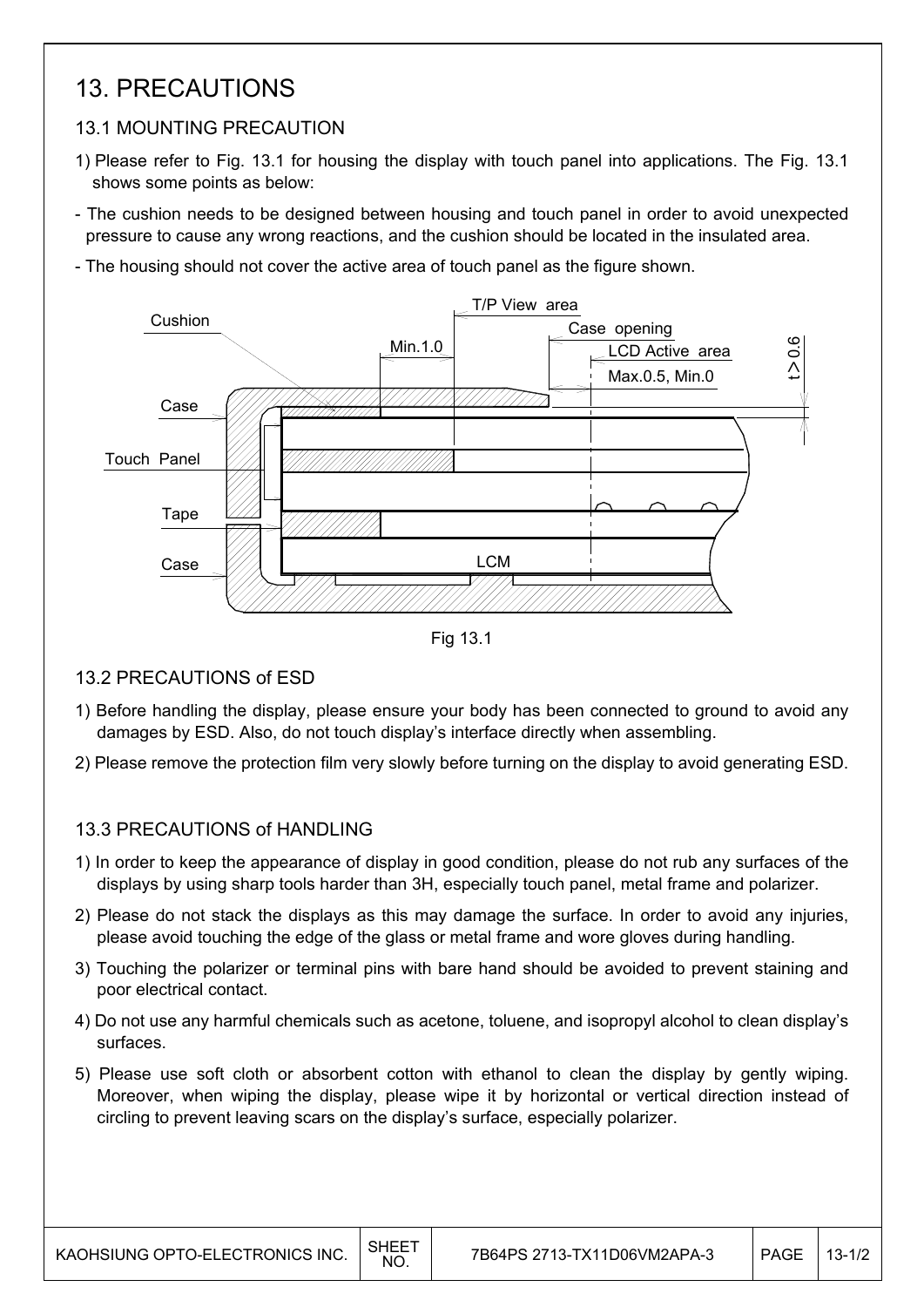### 13. PRECAUTIONS

### 13.1 MOUNTING PRECAUTION

- 1) Please refer to Fig. 13.1 for housing the display with touch panel into applications. The Fig. 13.1 shows some points as below:
- The cushion needs to be designed between housing and touch panel in order to avoid unexpected pressure to cause any wrong reactions, and the cushion should be located in the insulated area.
- The housing should not cover the active area of touch panel as the figure shown.



Fig 13.1

#### 13.2 PRECAUTIONS of ESD

- 1) Before handling the display, please ensure your body has been connected to ground to avoid any damages by ESD. Also, do not touch display's interface directly when assembling.
- 2) Please remove the protection film very slowly before turning on the display to avoid generating ESD.

#### 13.3 PRECAUTIONS of HANDLING

- 1) In order to keep the appearance of display in good condition, please do not rub any surfaces of the displays by using sharp tools harder than 3H, especially touch panel, metal frame and polarizer.
- 2) Please do not stack the displays as this may damage the surface. In order to avoid any injuries, please avoid touching the edge of the glass or metal frame and wore gloves during handling.
- 3) Touching the polarizer or terminal pins with bare hand should be avoided to prevent staining and poor electrical contact.
- 4) Do not use any harmful chemicals such as acetone, toluene, and isopropyl alcohol to clean display's surfaces.
- 5) Please use soft cloth or absorbent cotton with ethanol to clean the display by gently wiping. Moreover, when wiping the display, please wipe it by horizontal or vertical direction instead of circling to prevent leaving scars on the display's surface, especially polarizer.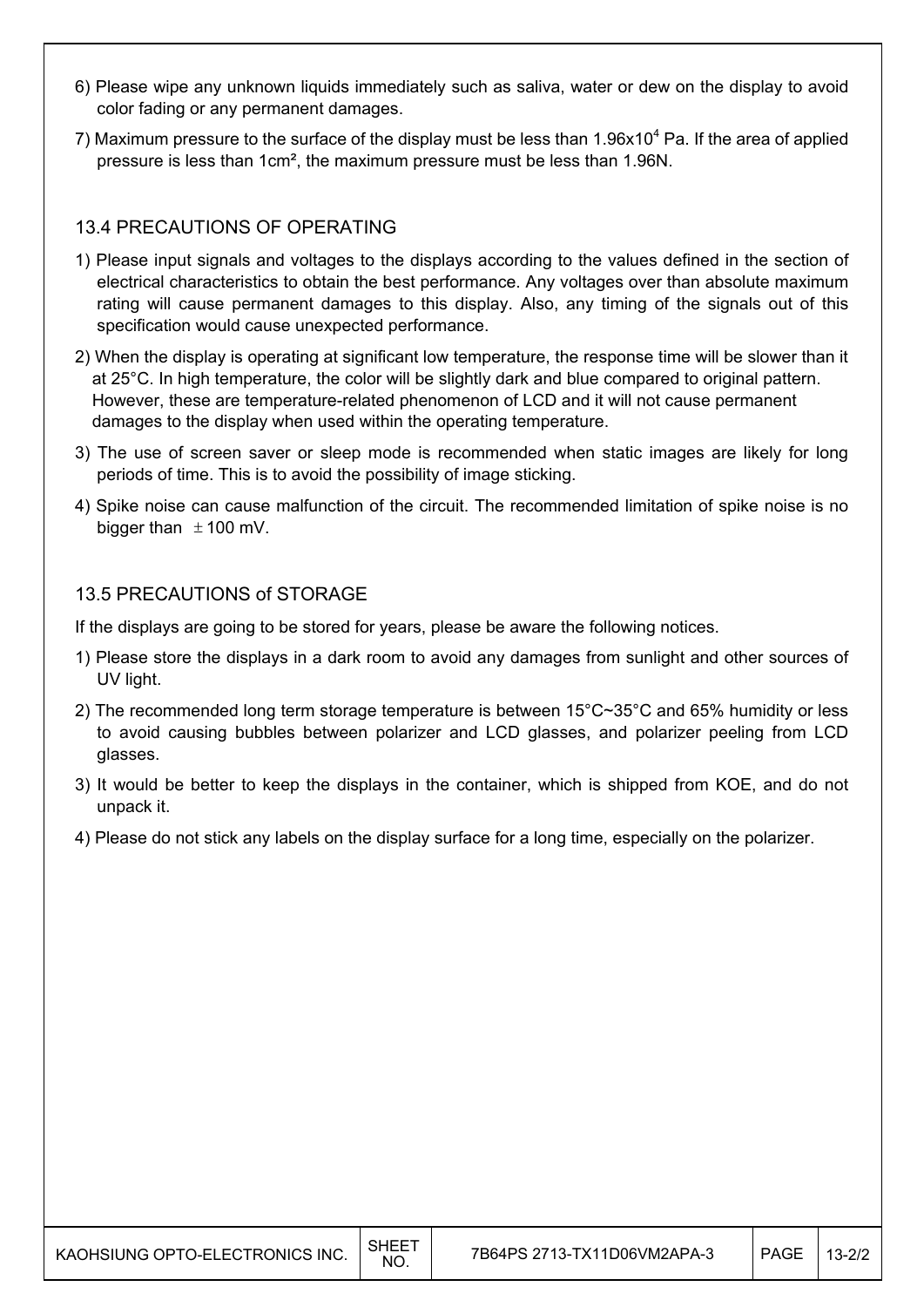- 6) Please wipe any unknown liquids immediately such as saliva, water or dew on the display to avoid color fading or any permanent damages.
- 7) Maximum pressure to the surface of the display must be less than  $1.96x10^4$  Pa. If the area of applied pressure is less than 1cm², the maximum pressure must be less than 1.96N.

#### 13.4 PRECAUTIONS OF OPERATING

- 1) Please input signals and voltages to the displays according to the values defined in the section of electrical characteristics to obtain the best performance. Any voltages over than absolute maximum rating will cause permanent damages to this display. Also, any timing of the signals out of this specification would cause unexpected performance.
- 2) When the display is operating at significant low temperature, the response time will be slower than it at 25°C. In high temperature, the color will be slightly dark and blue compared to original pattern. However, these are temperature-related phenomenon of LCD and it will not cause permanent damages to the display when used within the operating temperature.
- 3) The use of screen saver or sleep mode is recommended when static images are likely for long periods of time. This is to avoid the possibility of image sticking.
- 4) Spike noise can cause malfunction of the circuit. The recommended limitation of spike noise is no bigger than  $\pm$  100 mV.

#### 13.5 PRECAUTIONS of STORAGE

If the displays are going to be stored for years, please be aware the following notices.

- 1) Please store the displays in a dark room to avoid any damages from sunlight and other sources of UV light.
- 2) The recommended long term storage temperature is between 15°C~35°C and 65% humidity or less to avoid causing bubbles between polarizer and LCD glasses, and polarizer peeling from LCD glasses.
- 3) It would be better to keep the displays in the container, which is shipped from KOE, and do not unpack it.
- 4) Please do not stick any labels on the display surface for a long time, especially on the polarizer.

| KAOHSIUNG OPTO-ELECTRONICS INC. | SHEE<br><b>NO</b> | 7B64PS 2713-TX11D06VM2APA-3 | <b>PAGE</b> | $3 - 2/2$ |
|---------------------------------|-------------------|-----------------------------|-------------|-----------|
|---------------------------------|-------------------|-----------------------------|-------------|-----------|